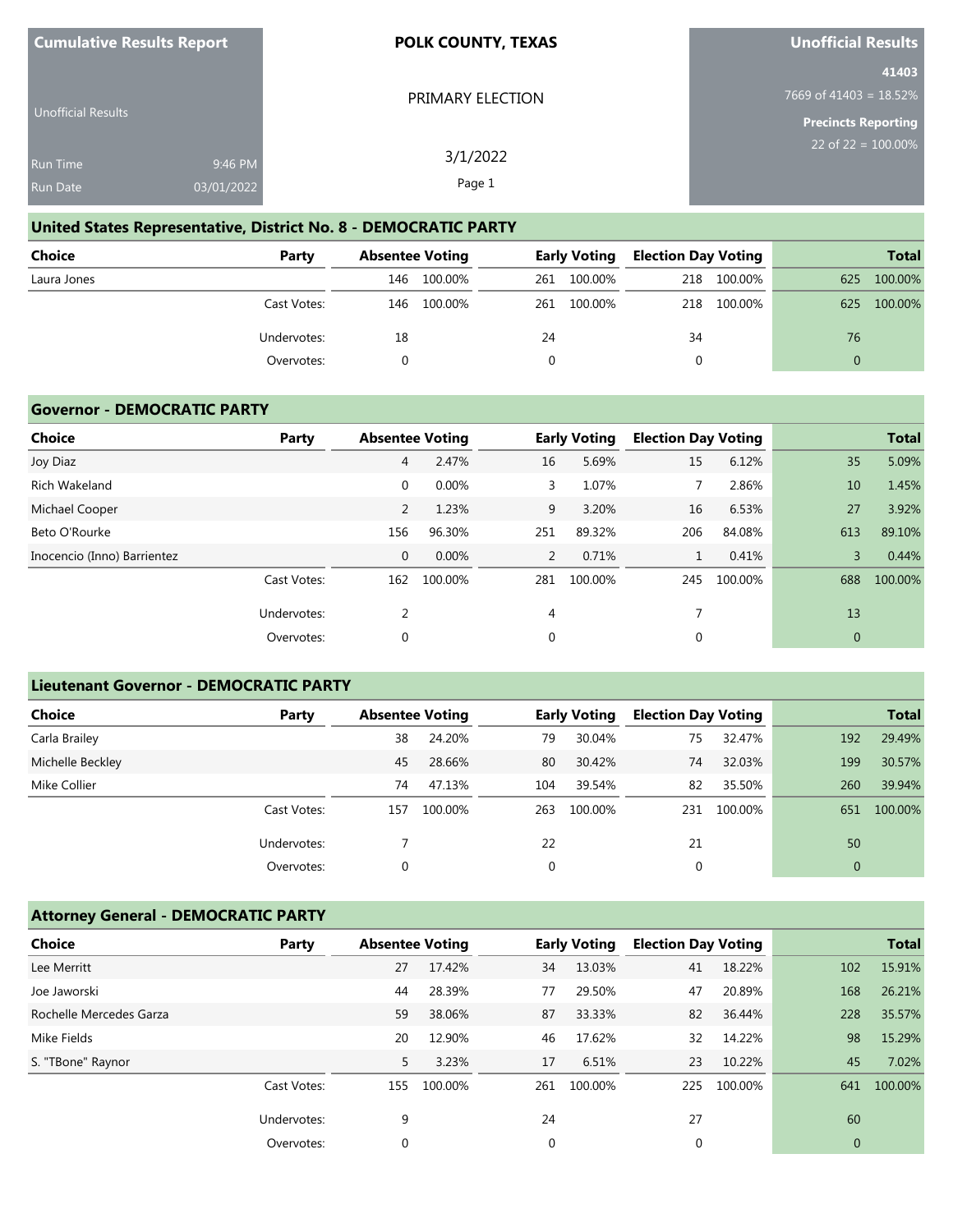| <b>Cumulative Results Report</b> |            | <b>POLK COUNTY, TEXAS</b> | <b>Unofficial Results</b>        |
|----------------------------------|------------|---------------------------|----------------------------------|
|                                  |            |                           | 41403                            |
| Unofficial Results               |            | PRIMARY ELECTION          | 7669 of 41403 = $18.52\%$        |
|                                  |            |                           | Precincts Reporting              |
| <b>Run Time</b>                  | 9:46 PM    | 3/1/2022                  | 22 of 22 = $\overline{100.00\%}$ |
| <b>Run Date</b>                  | 03/01/2022 | Page 1                    |                                  |

# **United States Representative, District No. 8 - DEMOCRATIC PARTY**

| <b>Choice</b> | Party       |     | <b>Absentee Voting</b> |    | <b>Early Voting</b> |     | <b>Election Day Voting</b> |          | <b>Total</b> |
|---------------|-------------|-----|------------------------|----|---------------------|-----|----------------------------|----------|--------------|
| Laura Jones   |             | 146 | 100.00%                |    | 261 100.00%         | 218 | 100.00%                    | 625      | 100.00%      |
|               | Cast Votes: | 146 | 100.00%                |    | 261 100.00%         | 218 | 100.00%                    | 625      | 100.00%      |
|               | Undervotes: | 18  |                        | 24 |                     | 34  |                            | 76       |              |
|               | Overvotes:  |     |                        |    |                     |     |                            | $\Omega$ |              |

#### **Governor - DEMOCRATIC PARTY**

**Cumulative Results Report**

| <b>Choice</b>               | Party       |                | <b>Absentee Voting</b> |     | <b>Early Voting</b> | <b>Election Day Voting</b> |         |          | <b>Total</b> |
|-----------------------------|-------------|----------------|------------------------|-----|---------------------|----------------------------|---------|----------|--------------|
| Joy Diaz                    |             | $\overline{4}$ | 2.47%                  | 16  | 5.69%               | 15                         | 6.12%   | 35       | 5.09%        |
| Rich Wakeland               |             | $\mathbf 0$    | 0.00%                  | 3   | 1.07%               | 7                          | 2.86%   | 10       | 1.45%        |
| Michael Cooper              |             | 2              | 1.23%                  | 9   | 3.20%               | 16                         | 6.53%   | 27       | 3.92%        |
| Beto O'Rourke               |             | 156            | 96.30%                 | 251 | 89.32%              | 206                        | 84.08%  | 613      | 89.10%       |
| Inocencio (Inno) Barrientez |             | $\mathbf{0}$   | 0.00%                  | 2   | 0.71%               |                            | 0.41%   | 3        | 0.44%        |
|                             | Cast Votes: | 162            | 100.00%                | 281 | 100.00%             | 245                        | 100.00% | 688      | 100.00%      |
|                             | Undervotes: | 2              |                        | 4   |                     | 7                          |         | 13       |              |
|                             | Overvotes:  | $\mathbf 0$    |                        | 0   |                     | 0                          |         | $\theta$ |              |
|                             |             |                |                        |     |                     |                            |         |          |              |

#### **Lieutenant Governor - DEMOCRATIC PARTY**

| <b>Choice</b>    | Party       | <b>Absentee Voting</b> |         |     | <b>Early Voting</b> | <b>Election Day Voting</b> |         |              | <b>Total</b> |
|------------------|-------------|------------------------|---------|-----|---------------------|----------------------------|---------|--------------|--------------|
| Carla Brailey    |             | 38                     | 24.20%  | 79  | 30.04%              | 75                         | 32.47%  | 192          | 29.49%       |
| Michelle Beckley |             | 45                     | 28.66%  | 80  | 30.42%              | 74                         | 32.03%  | 199          | 30.57%       |
| Mike Collier     |             | 74                     | 47.13%  | 104 | 39.54%              | 82                         | 35.50%  | 260          | 39.94%       |
|                  | Cast Votes: | 157                    | 100.00% | 263 | 100.00%             | 231                        | 100.00% | 651          | 100.00%      |
|                  | Undervotes: |                        |         | 22  |                     | 21                         |         | 50           |              |
|                  | Overvotes:  | 0                      |         | 0   |                     | 0                          |         | $\mathbf{0}$ |              |

## **Attorney General - DEMOCRATIC PARTY**

| <b>Choice</b>           | Party       | <b>Absentee Voting</b> |         |             | <b>Early Voting</b> | <b>Election Day Voting</b> |         |              | <b>Total</b> |
|-------------------------|-------------|------------------------|---------|-------------|---------------------|----------------------------|---------|--------------|--------------|
| Lee Merritt             |             | 27                     | 17.42%  | 34          | 13.03%              | 41                         | 18.22%  | 102          | 15.91%       |
| Joe Jaworski            |             | 44                     | 28.39%  | 77          | 29.50%              | 47                         | 20.89%  | 168          | 26.21%       |
| Rochelle Mercedes Garza |             | 59                     | 38.06%  | 87          | 33.33%              | 82                         | 36.44%  | 228          | 35.57%       |
| Mike Fields             |             | 20                     | 12.90%  | 46          | 17.62%              | 32                         | 14.22%  | 98           | 15.29%       |
| S. "TBone" Raynor       |             | 5                      | 3.23%   | 17          | 6.51%               | 23                         | 10.22%  | 45           | 7.02%        |
|                         | Cast Votes: | 155                    | 100.00% | 261         | 100.00%             | 225                        | 100.00% | 641          | 100.00%      |
|                         | Undervotes: | 9                      |         | 24          |                     | 27                         |         | 60           |              |
|                         | Overvotes:  | $\mathbf 0$            |         | $\mathbf 0$ |                     | 0                          |         | $\mathbf{0}$ |              |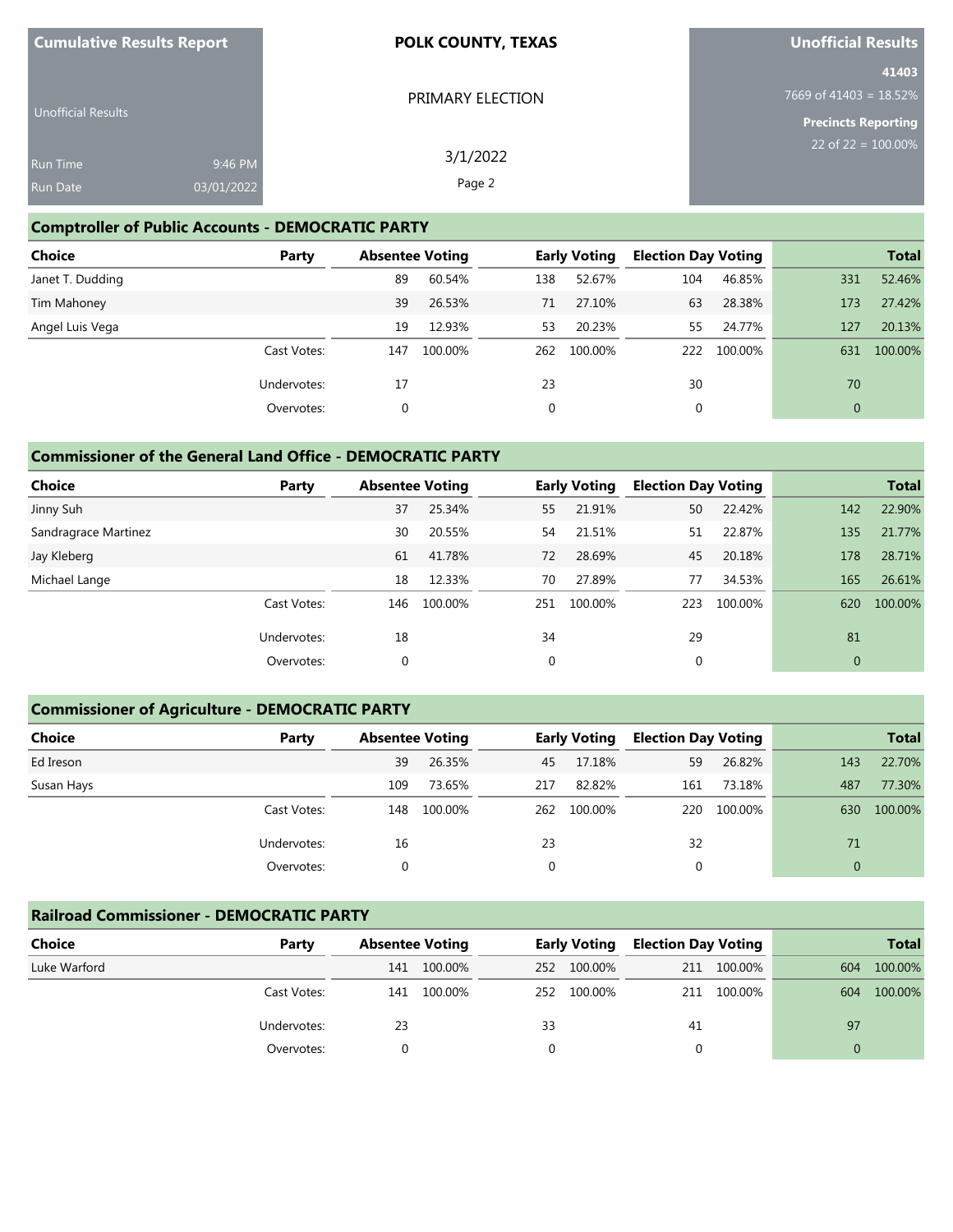| <b>Cumulative Results Report</b> |                       | <b>POLK COUNTY, TEXAS</b> | <b>Unofficial Results</b>                                      |
|----------------------------------|-----------------------|---------------------------|----------------------------------------------------------------|
| Unofficial Results               |                       | PRIMARY ELECTION          | 41403<br>7669 of 41403 = 18.52%                                |
| Run Time<br>Run Date             | 9:46 PM<br>03/01/2022 | 3/1/2022<br>Page 2        | <b>Precincts Reporting</b><br>22 of 22 = $\overline{100.00\%}$ |

# **Comptroller of Public Accounts - DEMOCRATIC PARTY**

| <b>Choice</b>    | Party       | <b>Absentee Voting</b> |         |             | <b>Early Voting</b> | <b>Election Day Voting</b> |         |              | <b>Total</b> |
|------------------|-------------|------------------------|---------|-------------|---------------------|----------------------------|---------|--------------|--------------|
| Janet T. Dudding |             | 89                     | 60.54%  | 138         | 52.67%              | 104                        | 46.85%  | 331          | 52.46%       |
| Tim Mahoney      |             | 39                     | 26.53%  | 71          | 27.10%              | 63                         | 28.38%  | 173          | 27.42%       |
| Angel Luis Vega  |             | 19                     | 12.93%  | 53          | 20.23%              | 55                         | 24.77%  | 127          | 20.13%       |
|                  | Cast Votes: | 147                    | 100.00% | 262         | 100.00%             | 222                        | 100.00% | 631          | 100.00%      |
|                  | Undervotes: | 17                     |         | 23          |                     | 30                         |         | 70           |              |
|                  | Overvotes:  | 0                      |         | $\mathbf 0$ |                     | 0                          |         | $\mathbf{0}$ |              |

## **Commissioner of the General Land Office - DEMOCRATIC PARTY**

| <b>Choice</b>        | Party       | <b>Absentee Voting</b> |         |     | <b>Early Voting</b> | <b>Election Day Voting</b> |         |              | <b>Total</b> |
|----------------------|-------------|------------------------|---------|-----|---------------------|----------------------------|---------|--------------|--------------|
| Jinny Suh            |             | 37                     | 25.34%  | 55  | 21.91%              | 50                         | 22.42%  | 142          | 22.90%       |
| Sandragrace Martinez |             | 30                     | 20.55%  | 54  | 21.51%              | 51                         | 22.87%  | 135          | 21.77%       |
| Jay Kleberg          |             | 61                     | 41.78%  | 72  | 28.69%              | 45                         | 20.18%  | 178          | 28.71%       |
| Michael Lange        |             | 18                     | 12.33%  | 70  | 27.89%              | 77                         | 34.53%  | 165          | 26.61%       |
|                      | Cast Votes: | 146                    | 100.00% | 251 | 100.00%             | 223                        | 100.00% | 620          | 100.00%      |
|                      | Undervotes: | 18                     |         | 34  |                     | 29                         |         | 81           |              |
|                      | Overvotes:  | 0                      |         | 0   |                     | 0                          |         | $\mathbf{0}$ |              |

# **Commissioner of Agriculture - DEMOCRATIC PARTY**

| <b>Choice</b> | Party       | <b>Absentee Voting</b> |         |     | <b>Early Voting</b> | <b>Election Day Voting</b> |         |              | <b>Total</b> |
|---------------|-------------|------------------------|---------|-----|---------------------|----------------------------|---------|--------------|--------------|
| Ed Ireson     |             | 39                     | 26.35%  | 45  | 17.18%              | 59                         | 26.82%  | 143          | 22.70%       |
| Susan Hays    |             | 109                    | 73.65%  | 217 | 82.82%              | 161                        | 73.18%  | 487          | 77.30%       |
|               | Cast Votes: | 148                    | 100.00% | 262 | 100.00%             | 220                        | 100.00% | 630          | 100.00%      |
|               | Undervotes: | 16                     |         | 23  |                     | 32                         |         | 71           |              |
|               | Overvotes:  |                        |         | 0   |                     | 0                          |         | $\mathbf{0}$ |              |

### **Railroad Commissioner - DEMOCRATIC PARTY**

| <b>Choice</b> | Party       |     | <b>Absentee Voting</b> |     | <b>Early Voting</b> |    | <b>Election Day Voting</b> |     | <b>Total</b> |
|---------------|-------------|-----|------------------------|-----|---------------------|----|----------------------------|-----|--------------|
| Luke Warford  |             | 141 | 100.00%                | 252 | 100.00%             |    | 211 100.00%                | 604 | 100.00%      |
|               | Cast Votes: | 141 | 100.00%                | 252 | 100.00%             |    | 211 100.00%                | 604 | 100.00%      |
|               | Undervotes: | 23  |                        | 33  |                     | 41 |                            | 97  |              |
|               | Overvotes:  |     |                        |     |                     |    |                            |     |              |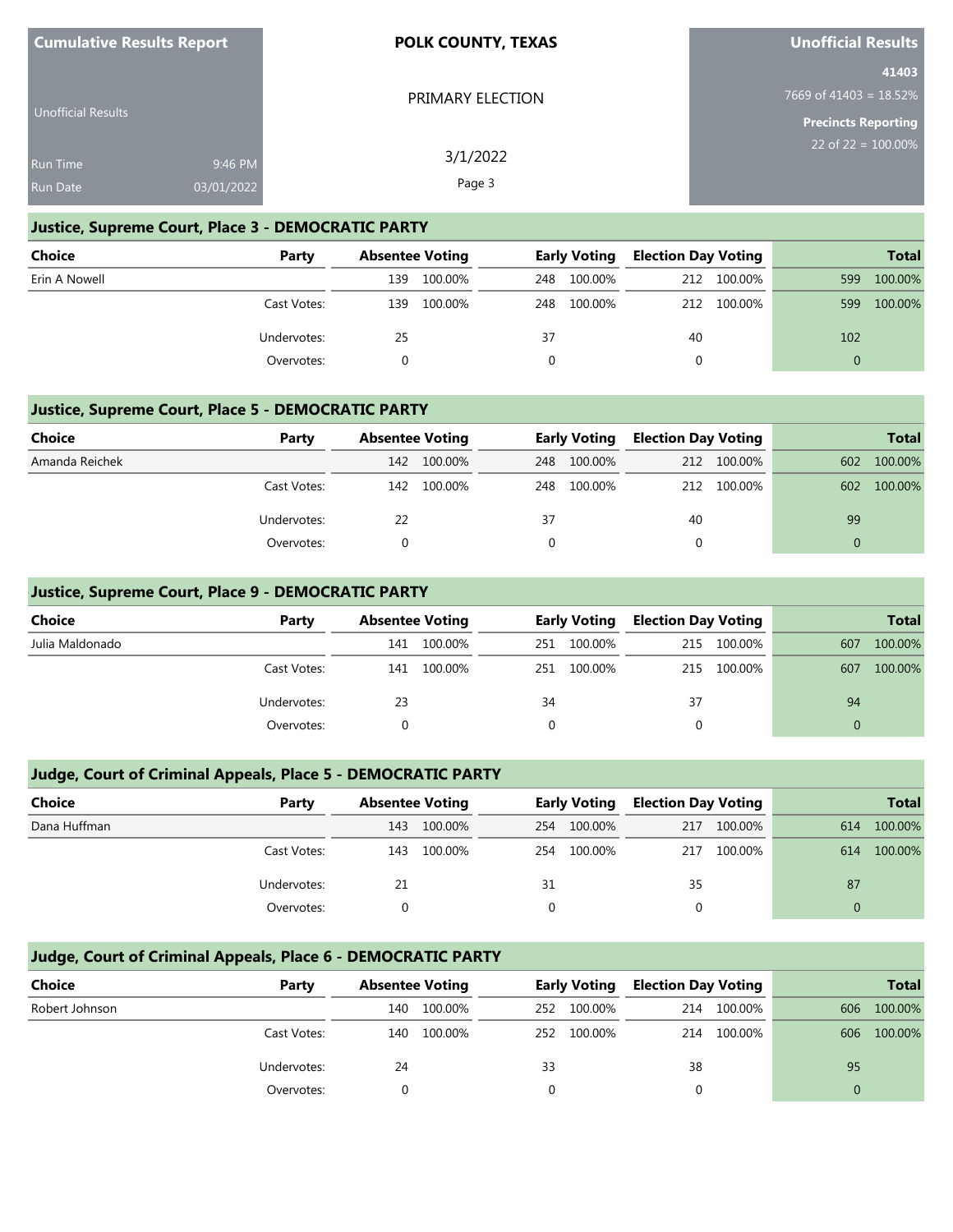| <b>Cumulative Results Report</b> | <b>POLK COUNTY, TEXAS</b> | <b>Unofficial Results</b>       |
|----------------------------------|---------------------------|---------------------------------|
|                                  | PRIMARY ELECTION          | 41403<br>7669 of 41403 = 18.52% |
| <b>Unofficial Results</b>        |                           | Precincts Reporting             |
| 9:46 PM<br>Run Time              | 3/1/2022                  | 22 of 22 = $100.00\%$           |
| 03/01/2022<br>Run Date           | Page 3                    |                                 |

### **Justice, Supreme Court, Place 3 - DEMOCRATIC PARTY**

| <b>Choice</b> | Party       |     | <b>Absentee Voting</b> |     | <b>Early Voting</b> |     | Election Day Voting |          | <b>Total</b> |
|---------------|-------------|-----|------------------------|-----|---------------------|-----|---------------------|----------|--------------|
| Erin A Nowell |             | 139 | 100.00%                | 248 | 100.00%             | 212 | 100.00%             | 599      | 100.00%      |
|               | Cast Votes: | 139 | 100.00%                | 248 | 100.00%             | 212 | 100.00%             | 599      | 100.00%      |
|               | Undervotes: | 25  |                        | 37  |                     | 40  |                     | 102      |              |
|               | Overvotes:  |     |                        |     |                     |     |                     | $\Omega$ |              |

### **Justice, Supreme Court, Place 5 - DEMOCRATIC PARTY**

| <b>Choice</b>  | Party       | <b>Absentee Voting</b> |         | <b>Early Voting</b> |         | <b>Election Day Voting</b> |             | <b>Total</b> |         |
|----------------|-------------|------------------------|---------|---------------------|---------|----------------------------|-------------|--------------|---------|
| Amanda Reichek |             | 142                    | 100.00% | 248                 | 100.00% |                            | 212 100.00% | 602          | 100.00% |
|                | Cast Votes: | 142                    | 100.00% | 248                 | 100.00% |                            | 212 100.00% | 602          | 100.00% |
|                | Undervotes: | 22                     |         | 37                  |         | 40                         |             | 99           |         |
|                | Overvotes:  |                        |         |                     |         |                            |             |              |         |

### **Justice, Supreme Court, Place 9 - DEMOCRATIC PARTY**

| <b>Choice</b>   | Party       |     | <b>Absentee Voting</b> |     | <b>Early Voting</b> |     | <b>Election Day Voting</b> |     | <b>Total</b> |
|-----------------|-------------|-----|------------------------|-----|---------------------|-----|----------------------------|-----|--------------|
| Julia Maldonado |             | 141 | 100.00%                | 251 | 100.00%             | 215 | 100.00%                    | 607 | 100.00%      |
|                 | Cast Votes: | 141 | 100.00%                | 251 | 100.00%             | 215 | 100.00%                    | 607 | 100.00%      |
|                 | Undervotes: | 23  |                        | 34  |                     | 37  |                            | 94  |              |
|                 | Overvotes:  |     |                        |     |                     |     |                            |     |              |

### **Judge, Court of Criminal Appeals, Place 5 - DEMOCRATIC PARTY**

| Choice       | Party       |     | <b>Absentee Voting</b> |     | <b>Early Voting</b> |     | <b>Election Day Voting</b> |     | <b>Total</b> |
|--------------|-------------|-----|------------------------|-----|---------------------|-----|----------------------------|-----|--------------|
| Dana Huffman |             | 143 | 100.00%                | 254 | 100.00%             | 217 | 100.00%                    | 614 | 100.00%      |
|              | Cast Votes: | 143 | 100.00%                | 254 | 100.00%             | 217 | 100.00%                    | 614 | 100.00%      |
|              | Undervotes: | 21  |                        | 31  |                     | 35  |                            | 87  |              |
|              | Overvotes:  |     |                        |     |                     |     |                            |     |              |

# **Judge, Court of Criminal Appeals, Place 6 - DEMOCRATIC PARTY**

| Choice         | Party       | <b>Absentee Voting</b> |         | <b>Early Voting</b> |         | <b>Election Day Voting</b> |         |     | Total   |
|----------------|-------------|------------------------|---------|---------------------|---------|----------------------------|---------|-----|---------|
| Robert Johnson |             | 140                    | 100.00% | 252                 | 100.00% | 214                        | 100.00% | 606 | 100.00% |
|                | Cast Votes: | 140                    | 100.00% | 252                 | 100.00% | 214                        | 100.00% | 606 | 100.00% |
|                | Undervotes: | 24                     |         | 33                  |         | 38                         |         | 95  |         |
|                | Overvotes:  |                        |         |                     |         |                            |         |     |         |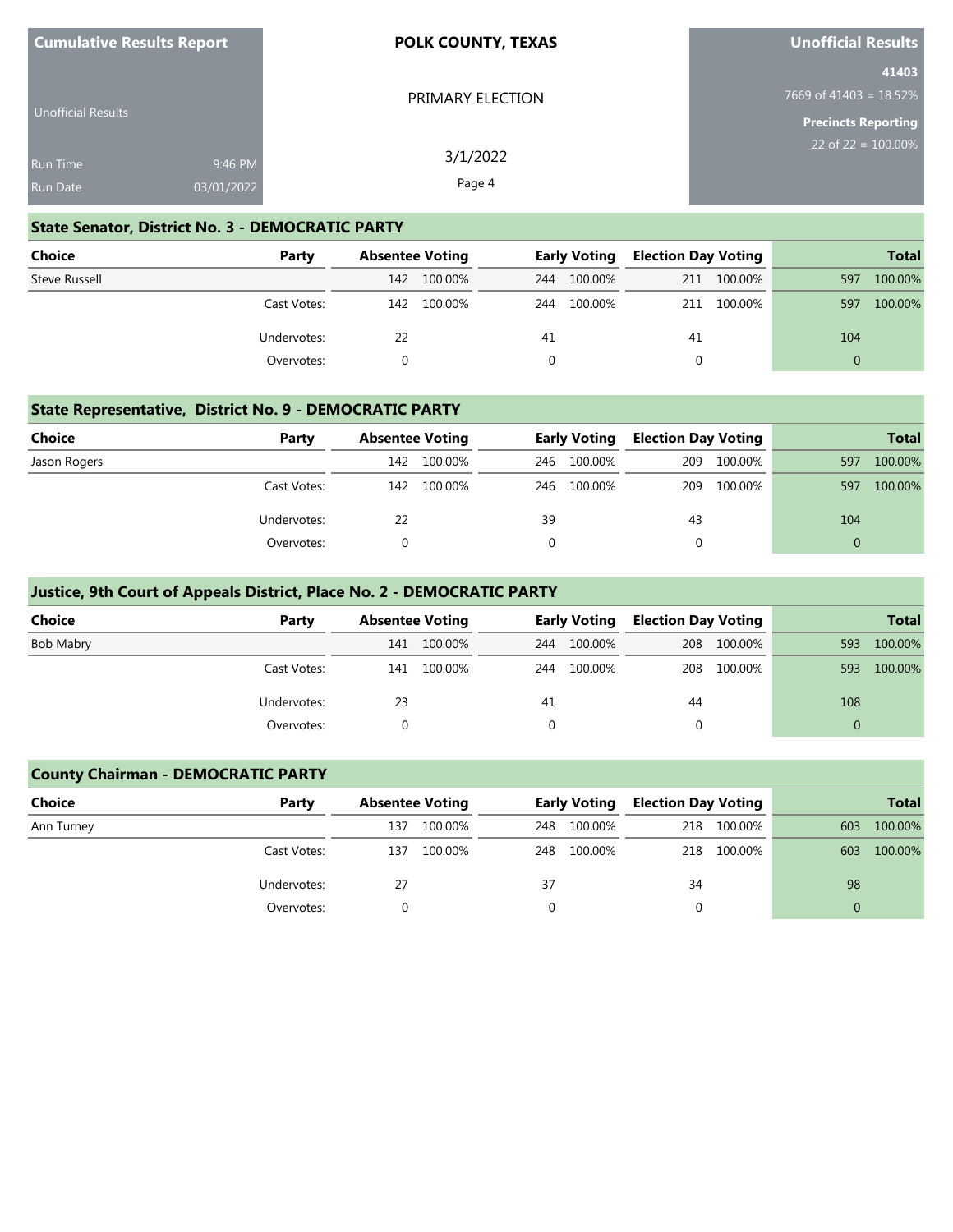| <b>Cumulative Results Report</b> |            | <b>POLK COUNTY, TEXAS</b> | <b>Unofficial Results</b>          |  |  |
|----------------------------------|------------|---------------------------|------------------------------------|--|--|
| Unofficial Results               |            | PRIMARY ELECTION          | 41403<br>7669 of 41403 = $18.52\%$ |  |  |
|                                  |            |                           | <b>Precincts Reporting</b>         |  |  |
| <b>Run Time</b>                  | 9:46 PM    | 3/1/2022                  | 22 of 22 = $\overline{100.00\%}$   |  |  |
| <b>Run Date</b>                  | 03/01/2022 | Page 4                    |                                    |  |  |

#### **State Senator, District No. 3 - DEMOCRATIC PARTY**

**Cumulative Results Report**

| Choice        | Party       | <b>Absentee Voting</b> |         | <b>Early Voting</b> |         | <b>Election Day Voting</b> |             |          | <b>Total</b> |
|---------------|-------------|------------------------|---------|---------------------|---------|----------------------------|-------------|----------|--------------|
| Steve Russell |             | 142                    | 100.00% | 244                 | 100.00% | 211                        | 100.00%     | 597      | 100.00%      |
|               | Cast Votes: | 142                    | 100.00% | 244                 | 100.00% |                            | 211 100.00% | 597      | 100.00%      |
|               | Undervotes: | 22                     |         | 41                  |         | 41                         |             | 104      |              |
|               | Overvotes:  |                        |         |                     |         |                            |             | $\Omega$ |              |

#### **State Representative, District No. 9 - DEMOCRATIC PARTY**

| <b>Choice</b> | Party       | <b>Absentee Voting</b> |             | <b>Early Voting</b> |             | <b>Election Day Voting</b> |             |          | <b>Total</b> |
|---------------|-------------|------------------------|-------------|---------------------|-------------|----------------------------|-------------|----------|--------------|
| Jason Rogers  |             | 142                    | 100.00%     | 246                 | 100.00%     |                            | 209 100.00% | 597      | 100.00%      |
|               | Cast Votes: |                        | 142 100.00% |                     | 246 100.00% |                            | 209 100.00% | 597      | 100.00%      |
|               | Undervotes: | 22                     |             | 39                  |             | 43                         |             | 104      |              |
|               | Overvotes:  |                        |             |                     |             | 0                          |             | $\Omega$ |              |

### **Justice, 9th Court of Appeals District, Place No. 2 - DEMOCRATIC PARTY**

| <b>Choice</b> | Party       |     | <b>Absentee Voting</b> |          | <b>Early Voting</b> |    | <b>Election Day Voting</b> |          | <b>Total</b> |
|---------------|-------------|-----|------------------------|----------|---------------------|----|----------------------------|----------|--------------|
| Bob Mabry     |             | 141 | 100.00%                | 244      | 100.00%             |    | 208 100.00%                | 593      | 100.00%      |
|               | Cast Votes: | 141 | 100.00%                | 244      | 100.00%             |    | 208 100.00%                | 593      | 100.00%      |
|               | Undervotes: | 23  |                        | 41       |                     | 44 |                            | 108      |              |
|               | Overvotes:  |     |                        | $\Omega$ |                     | 0  |                            | $\Omega$ |              |

### **County Chairman - DEMOCRATIC PARTY**

| <b>Choice</b> | Party       | <b>Absentee Voting</b> |         |    | <b>Early Voting</b> |          | <b>Election Day Voting</b> | <b>Total</b> |         |
|---------------|-------------|------------------------|---------|----|---------------------|----------|----------------------------|--------------|---------|
| Ann Turney    |             | 137                    | 100.00% |    | 248 100.00%         | 218      | 100.00%                    | 603          | 100.00% |
|               | Cast Votes: | 137                    | 100.00% |    | 248 100.00%         |          | 218 100.00%                | 603          | 100.00% |
|               | Undervotes: | 27                     |         | 37 |                     | 34       |                            | 98           |         |
|               | Overvotes:  |                        |         |    |                     | $\Omega$ |                            |              |         |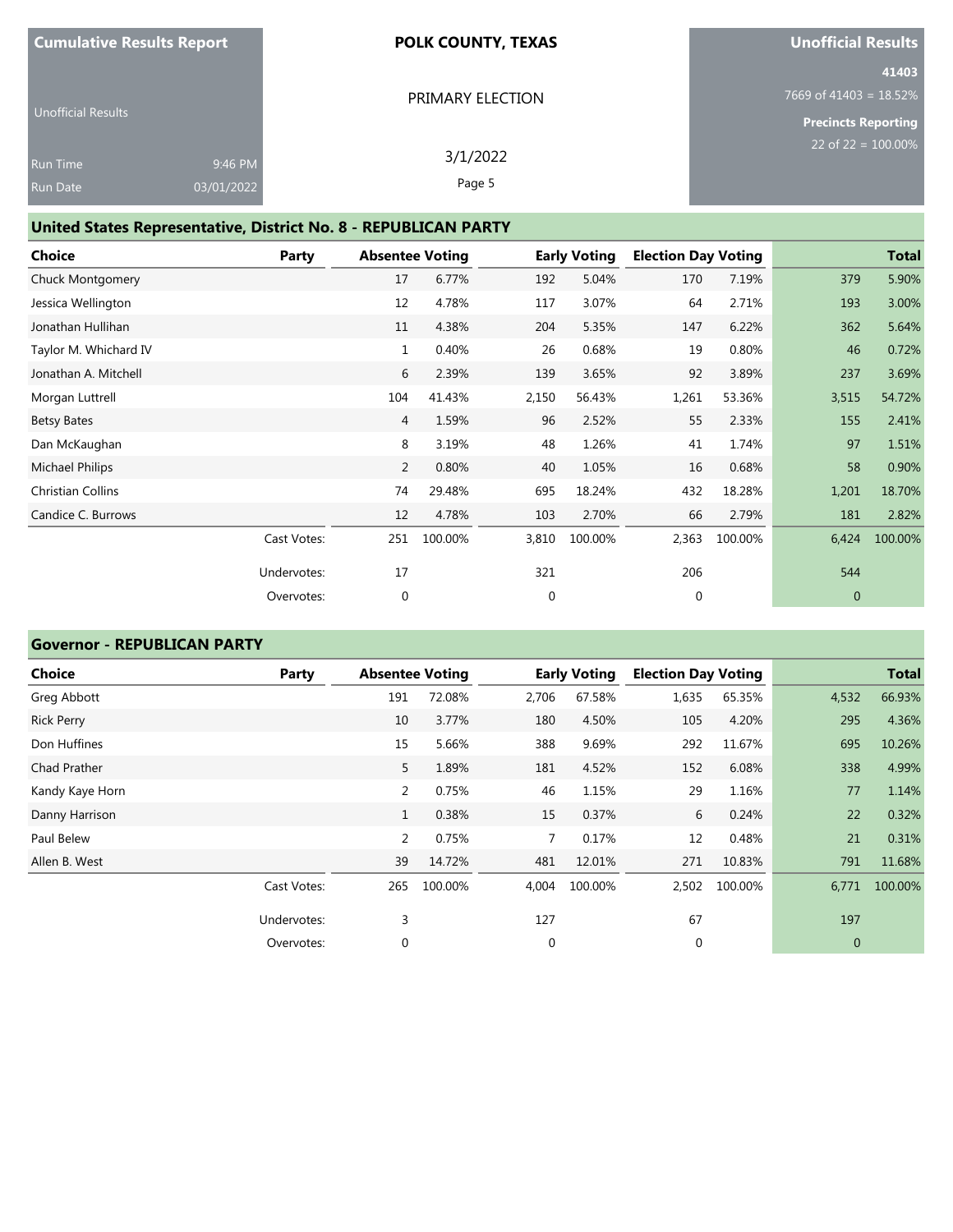| <b>Cumulative Results Report</b> | <b>POLK COUNTY, TEXAS</b> | Unofficial Results               |  |  |
|----------------------------------|---------------------------|----------------------------------|--|--|
|                                  |                           | 41403                            |  |  |
|                                  | PRIMARY ELECTION          | 7669 of 41403 = $18.52\%$        |  |  |
| <b>Unofficial Results</b>        |                           | <b>Precincts Reporting</b>       |  |  |
| 9:46 PM<br><b>Run Time</b>       | 3/1/2022                  | 22 of 22 = $\overline{100.00\%}$ |  |  |
| 03/01/2022<br>Run Date           | Page 5                    |                                  |  |  |

# **United States Representative, District No. 8 - REPUBLICAN PARTY**

| Choice                   | Party       | <b>Absentee Voting</b> |         |             | <b>Early Voting</b> | <b>Election Day Voting</b> |         |              | <b>Total</b> |
|--------------------------|-------------|------------------------|---------|-------------|---------------------|----------------------------|---------|--------------|--------------|
| Chuck Montgomery         |             | 17                     | 6.77%   | 192         | 5.04%               | 170                        | 7.19%   | 379          | 5.90%        |
| Jessica Wellington       |             | 12                     | 4.78%   | 117         | 3.07%               | 64                         | 2.71%   | 193          | 3.00%        |
| Jonathan Hullihan        |             | 11                     | 4.38%   | 204         | 5.35%               | 147                        | 6.22%   | 362          | 5.64%        |
| Taylor M. Whichard IV    |             | 1                      | 0.40%   | 26          | 0.68%               | 19                         | 0.80%   | 46           | 0.72%        |
| Jonathan A. Mitchell     |             | 6                      | 2.39%   | 139         | 3.65%               | 92                         | 3.89%   | 237          | 3.69%        |
| Morgan Luttrell          |             | 104                    | 41.43%  | 2,150       | 56.43%              | 1,261                      | 53.36%  | 3,515        | 54.72%       |
| Betsy Bates              |             | 4                      | 1.59%   | 96          | 2.52%               | 55                         | 2.33%   | 155          | 2.41%        |
| Dan McKaughan            |             | 8                      | 3.19%   | 48          | 1.26%               | 41                         | 1.74%   | 97           | 1.51%        |
| Michael Philips          |             | 2                      | 0.80%   | 40          | 1.05%               | 16                         | 0.68%   | 58           | 0.90%        |
| <b>Christian Collins</b> |             | 74                     | 29.48%  | 695         | 18.24%              | 432                        | 18.28%  | 1,201        | 18.70%       |
| Candice C. Burrows       |             | 12                     | 4.78%   | 103         | 2.70%               | 66                         | 2.79%   | 181          | 2.82%        |
|                          | Cast Votes: | 251                    | 100.00% | 3,810       | 100.00%             | 2,363                      | 100.00% | 6,424        | 100.00%      |
|                          | Undervotes: | 17                     |         | 321         |                     | 206                        |         | 544          |              |
|                          | Overvotes:  | $\mathbf{0}$           |         | $\mathbf 0$ |                     | 0                          |         | $\mathbf{0}$ |              |

## **Governor - REPUBLICAN PARTY**

| <b>Choice</b>     | <b>Party</b> | <b>Absentee Voting</b> |         |             | <b>Early Voting</b> | <b>Election Day Voting</b> |         |              | <b>Total</b> |
|-------------------|--------------|------------------------|---------|-------------|---------------------|----------------------------|---------|--------------|--------------|
| Greg Abbott       |              | 191                    | 72.08%  | 2,706       | 67.58%              | 1,635                      | 65.35%  | 4,532        | 66.93%       |
| <b>Rick Perry</b> |              | 10                     | 3.77%   | 180         | 4.50%               | 105                        | 4.20%   | 295          | 4.36%        |
| Don Huffines      |              | 15                     | 5.66%   | 388         | 9.69%               | 292                        | 11.67%  | 695          | 10.26%       |
| Chad Prather      |              | 5                      | 1.89%   | 181         | 4.52%               | 152                        | 6.08%   | 338          | 4.99%        |
| Kandy Kaye Horn   |              | 2                      | 0.75%   | 46          | 1.15%               | 29                         | 1.16%   | 77           | 1.14%        |
| Danny Harrison    |              | $\mathbf{1}$           | 0.38%   | 15          | 0.37%               | 6                          | 0.24%   | 22           | 0.32%        |
| Paul Belew        |              | 2                      | 0.75%   | 7           | 0.17%               | 12                         | 0.48%   | 21           | 0.31%        |
| Allen B. West     |              | 39                     | 14.72%  | 481         | 12.01%              | 271                        | 10.83%  | 791          | 11.68%       |
|                   | Cast Votes:  | 265                    | 100.00% | 4,004       | 100.00%             | 2,502                      | 100.00% | 6,771        | 100.00%      |
|                   | Undervotes:  | 3                      |         | 127         |                     | 67                         |         | 197          |              |
|                   | Overvotes:   | 0                      |         | $\mathbf 0$ |                     | 0                          |         | $\mathbf{0}$ |              |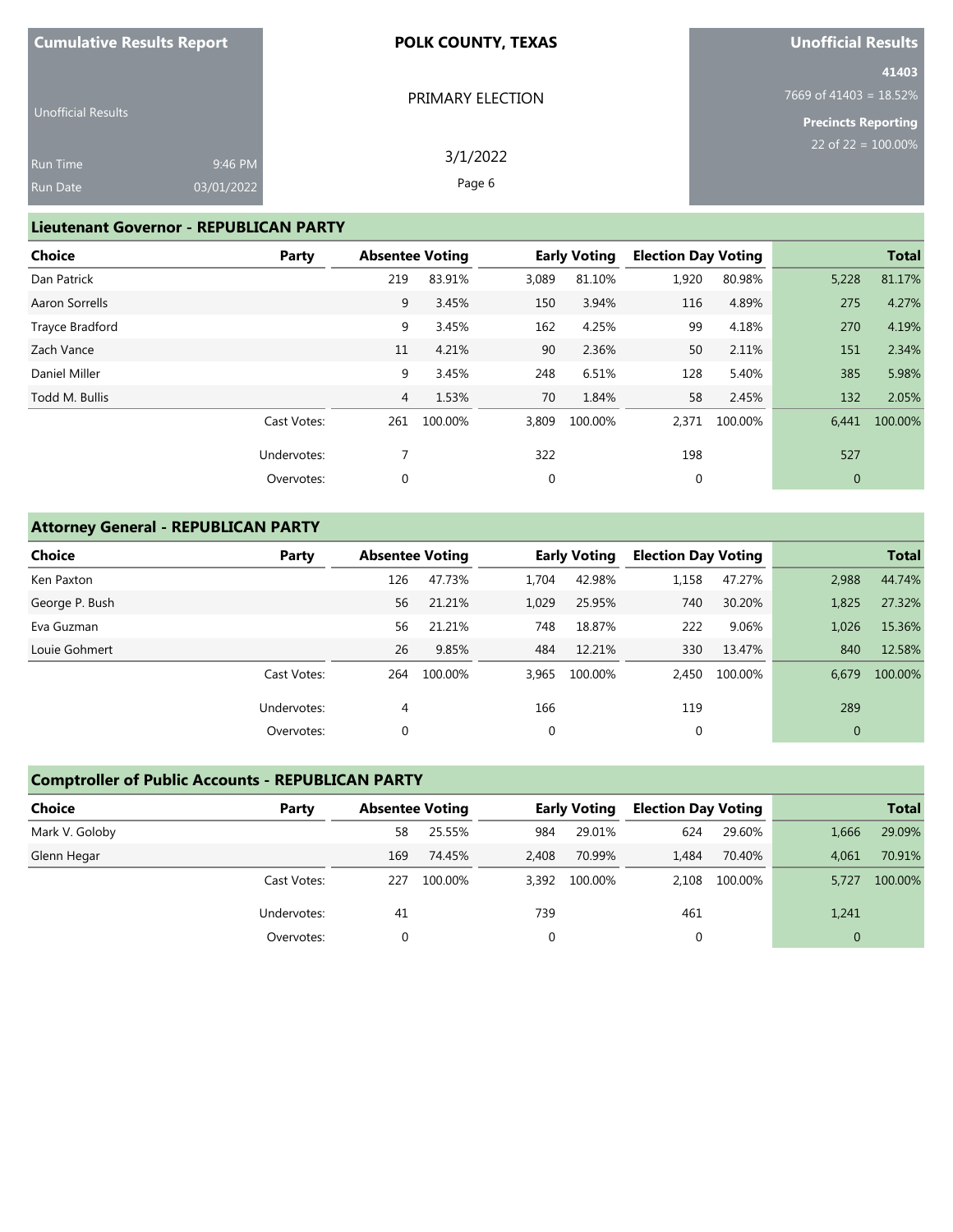| <b>Cumulative Results Report</b> | <b>POLK COUNTY, TEXAS</b> | Unofficial Results               |
|----------------------------------|---------------------------|----------------------------------|
|                                  |                           | 41403                            |
|                                  | PRIMARY ELECTION          | 7669 of 41403 = $18.52\%$        |
| <b>Unofficial Results</b>        |                           | <b>Precincts Reporting</b>       |
| Run Time                         | 3/1/2022<br>9:46 PM       | 22 of 22 = $\overline{100.00\%}$ |
| Run Date                         | Page 6<br>03/01/2022      |                                  |

### **Lieutenant Governor - REPUBLICAN PARTY**

| <b>Election Day Voting</b><br><b>Total</b> |        | <b>Early Voting</b> |       | <b>Absentee Voting</b> |                | Party       | <b>Choice</b>   |
|--------------------------------------------|--------|---------------------|-------|------------------------|----------------|-------------|-----------------|
| 80.98%<br>1,920<br>81.17%<br>5,228         | 81.10% |                     | 3,089 | 83.91%                 | 219            |             | Dan Patrick     |
| 116<br>4.89%<br>4.27%<br>275               | 3.94%  |                     | 150   | 3.45%                  | 9              |             | Aaron Sorrells  |
| 99<br>4.18%<br>4.19%<br>270                | 4.25%  |                     | 162   | 3.45%                  | 9              |             | Trayce Bradford |
| 50<br>2.34%<br>2.11%<br>151                | 2.36%  |                     | 90    | 4.21%                  | 11             |             | Zach Vance      |
| 128<br>5.40%<br>5.98%<br>385               | 6.51%  |                     | 248   | 3.45%                  | 9              |             | Daniel Miller   |
| 58<br>2.45%<br>2.05%<br>132                | 1.84%  |                     | 70    | 1.53%                  | $\overline{4}$ |             | Todd M. Bullis  |
| 100.00%<br>100.00%<br>2,371<br>6,441       |        | 100.00%             | 3,809 | 100.00%                | 261            | Cast Votes: |                 |
| 527<br>198                                 |        |                     | 322   |                        | 7              | Undervotes: |                 |
| $\mathbf{0}$<br>0                          |        |                     | 0     |                        | 0              | Overvotes:  |                 |
|                                            |        |                     |       |                        |                |             |                 |

# **Attorney General - REPUBLICAN PARTY**

| <b>Choice</b>  | Party       | <b>Absentee Voting</b> |         | <b>Early Voting</b> |         | <b>Election Day Voting</b> |         |       | <b>Total</b> |
|----------------|-------------|------------------------|---------|---------------------|---------|----------------------------|---------|-------|--------------|
| Ken Paxton     |             | 126                    | 47.73%  | 1,704               | 42.98%  | 1,158                      | 47.27%  | 2,988 | 44.74%       |
| George P. Bush |             | 56                     | 21.21%  | 1,029               | 25.95%  | 740                        | 30.20%  | 1,825 | 27.32%       |
| Eva Guzman     |             | 56                     | 21.21%  | 748                 | 18.87%  | 222                        | 9.06%   | 1,026 | 15.36%       |
| Louie Gohmert  |             | 26                     | 9.85%   | 484                 | 12.21%  | 330                        | 13.47%  | 840   | 12.58%       |
|                | Cast Votes: | 264                    | 100.00% | 3,965               | 100.00% | 2.450                      | 100.00% | 6,679 | 100.00%      |
|                | Undervotes: | 4                      |         | 166                 |         | 119                        |         | 289   |              |
|                | Overvotes:  | 0                      |         | 0                   |         | 0                          |         | 0     |              |

# **Comptroller of Public Accounts - REPUBLICAN PARTY**

| Choice         | Party       | <b>Absentee Voting</b> |         | <b>Early Voting</b> |         | <b>Election Day Voting</b> |         |          | <b>Total</b> |
|----------------|-------------|------------------------|---------|---------------------|---------|----------------------------|---------|----------|--------------|
| Mark V. Goloby |             | 58                     | 25.55%  | 984                 | 29.01%  | 624                        | 29.60%  | 1,666    | 29.09%       |
| Glenn Hegar    |             | 169                    | 74.45%  | 2,408               | 70.99%  | 1,484                      | 70.40%  | 4.061    | 70.91%       |
|                | Cast Votes: | 227                    | 100.00% | 3.392               | 100.00% | 2.108                      | 100.00% | 5.727    | 100.00%      |
|                | Undervotes: | -41                    |         | 739                 |         | 461                        |         | 1,241    |              |
|                | Overvotes:  |                        |         | 0                   |         |                            |         | $\Omega$ |              |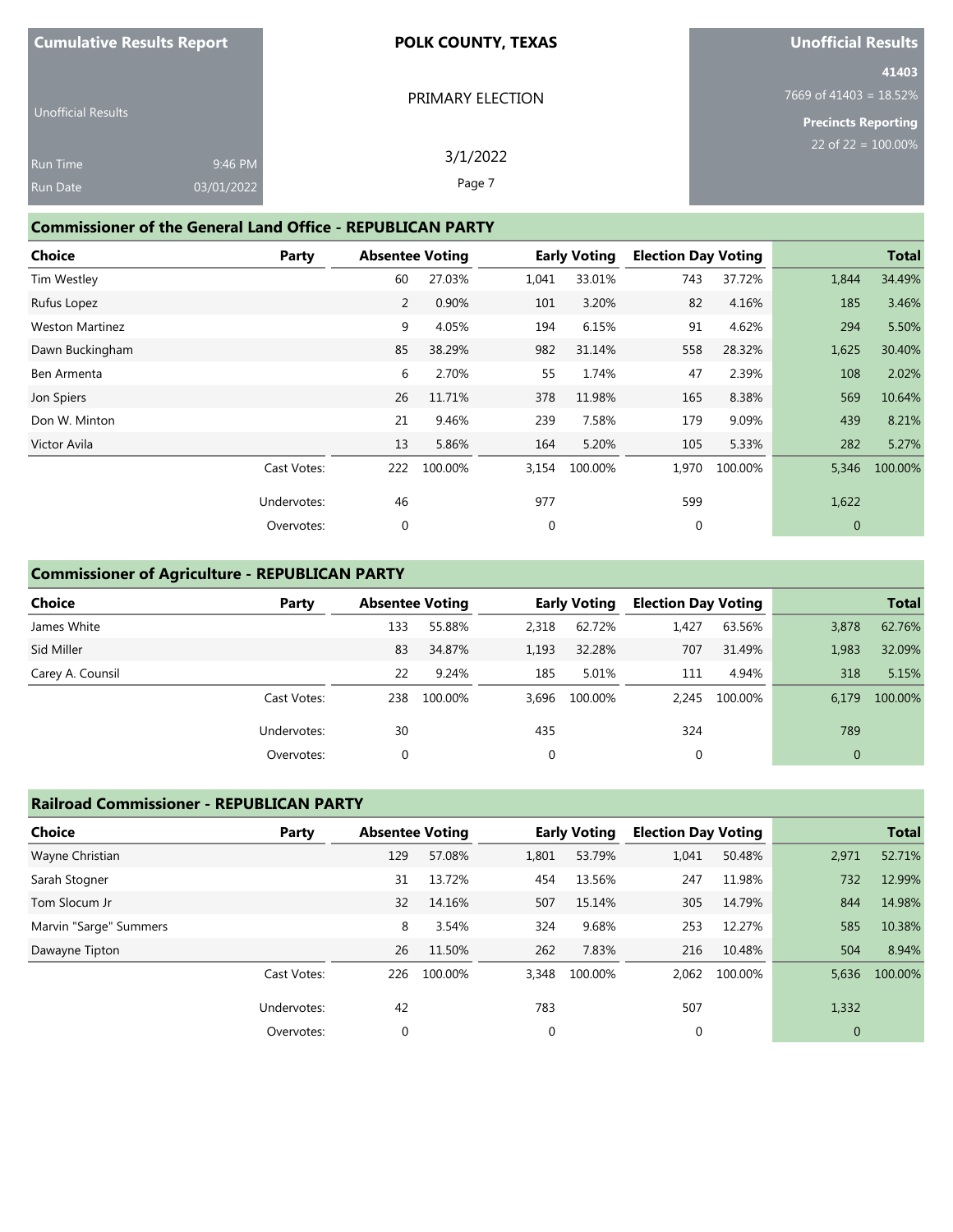| <b>Cumulative Results Report</b> |            | <b>POLK COUNTY, TEXAS</b> | Unofficial Results               |
|----------------------------------|------------|---------------------------|----------------------------------|
|                                  |            |                           | 41403                            |
|                                  |            | PRIMARY ELECTION          | $7669$ of 41403 = 18.52%         |
| <b>Unofficial Results</b>        |            |                           | <b>Precincts Reporting</b>       |
| <b>Run Time</b>                  | 9:46 PM    | 3/1/2022                  | 22 of 22 = $\overline{100.00\%}$ |
| <b>Run Date</b>                  | 03/01/2022 | Page 7                    |                                  |

### **Commissioner of the General Land Office - REPUBLICAN PARTY**

| <b>Choice</b>          | Party       | <b>Absentee Voting</b> |         |             | <b>Early Voting</b> | <b>Election Day Voting</b> |         |              | <b>Total</b> |
|------------------------|-------------|------------------------|---------|-------------|---------------------|----------------------------|---------|--------------|--------------|
| Tim Westley            |             | 60                     | 27.03%  | 1,041       | 33.01%              | 743                        | 37.72%  | 1,844        | 34.49%       |
| Rufus Lopez            |             | 2                      | 0.90%   | 101         | 3.20%               | 82                         | 4.16%   | 185          | 3.46%        |
| <b>Weston Martinez</b> |             | 9                      | 4.05%   | 194         | 6.15%               | 91                         | 4.62%   | 294          | 5.50%        |
| Dawn Buckingham        |             | 85                     | 38.29%  | 982         | 31.14%              | 558                        | 28.32%  | 1,625        | 30.40%       |
| Ben Armenta            |             | 6                      | 2.70%   | 55          | 1.74%               | 47                         | 2.39%   | 108          | 2.02%        |
| Jon Spiers             |             | 26                     | 11.71%  | 378         | 11.98%              | 165                        | 8.38%   | 569          | 10.64%       |
| Don W. Minton          |             | 21                     | 9.46%   | 239         | 7.58%               | 179                        | 9.09%   | 439          | 8.21%        |
| Victor Avila           |             | 13                     | 5.86%   | 164         | 5.20%               | 105                        | 5.33%   | 282          | 5.27%        |
|                        | Cast Votes: | 222                    | 100.00% | 3,154       | 100.00%             | 1,970                      | 100.00% | 5,346        | 100.00%      |
|                        | Undervotes: | 46                     |         | 977         |                     | 599                        |         | 1,622        |              |
|                        | Overvotes:  | 0                      |         | $\mathbf 0$ |                     | 0                          |         | $\mathbf{0}$ |              |

#### **Commissioner of Agriculture - REPUBLICAN PARTY**

| <b>Choice</b>    | Party       | <b>Absentee Voting</b> |         | <b>Early Voting</b> |         | <b>Election Day Voting</b> |         |              | <b>Total</b> |
|------------------|-------------|------------------------|---------|---------------------|---------|----------------------------|---------|--------------|--------------|
| James White      |             | 133                    | 55.88%  | 2,318               | 62.72%  | 1.427                      | 63.56%  | 3,878        | 62.76%       |
| Sid Miller       |             | 83                     | 34.87%  | 1,193               | 32.28%  | 707                        | 31.49%  | 1,983        | 32.09%       |
| Carey A. Counsil |             | 22                     | 9.24%   | 185                 | 5.01%   | 111                        | 4.94%   | 318          | 5.15%        |
|                  | Cast Votes: | 238                    | 100.00% | 3,696               | 100.00% | 2.245                      | 100.00% | 6,179        | 100.00%      |
|                  | Undervotes: | 30                     |         | 435                 |         | 324                        |         | 789          |              |
|                  | Overvotes:  | 0                      |         | 0                   |         | 0                          |         | $\mathbf{0}$ |              |

#### **Railroad Commissioner - REPUBLICAN PARTY**

| <b>Choice</b>          | Party       | <b>Absentee Voting</b> |         | <b>Early Voting</b> |         | <b>Election Day Voting</b> |         |                | <b>Total</b> |
|------------------------|-------------|------------------------|---------|---------------------|---------|----------------------------|---------|----------------|--------------|
| Wayne Christian        |             | 129                    | 57.08%  | 1,801               | 53.79%  | 1,041                      | 50.48%  | 2,971          | 52.71%       |
| Sarah Stogner          |             | 31                     | 13.72%  | 454                 | 13.56%  | 247                        | 11.98%  | 732            | 12.99%       |
| Tom Slocum Jr          |             | 32                     | 14.16%  | 507                 | 15.14%  | 305                        | 14.79%  | 844            | 14.98%       |
| Marvin "Sarge" Summers |             | 8                      | 3.54%   | 324                 | 9.68%   | 253                        | 12.27%  | 585            | 10.38%       |
| Dawayne Tipton         |             | 26                     | 11.50%  | 262                 | 7.83%   | 216                        | 10.48%  | 504            | 8.94%        |
|                        | Cast Votes: | 226                    | 100.00% | 3,348               | 100.00% | 2,062                      | 100.00% | 5,636          | 100.00%      |
|                        | Undervotes: | 42                     |         | 783                 |         | 507                        |         | 1,332          |              |
|                        | Overvotes:  | 0                      |         | 0                   |         | $\mathbf 0$                |         | $\overline{0}$ |              |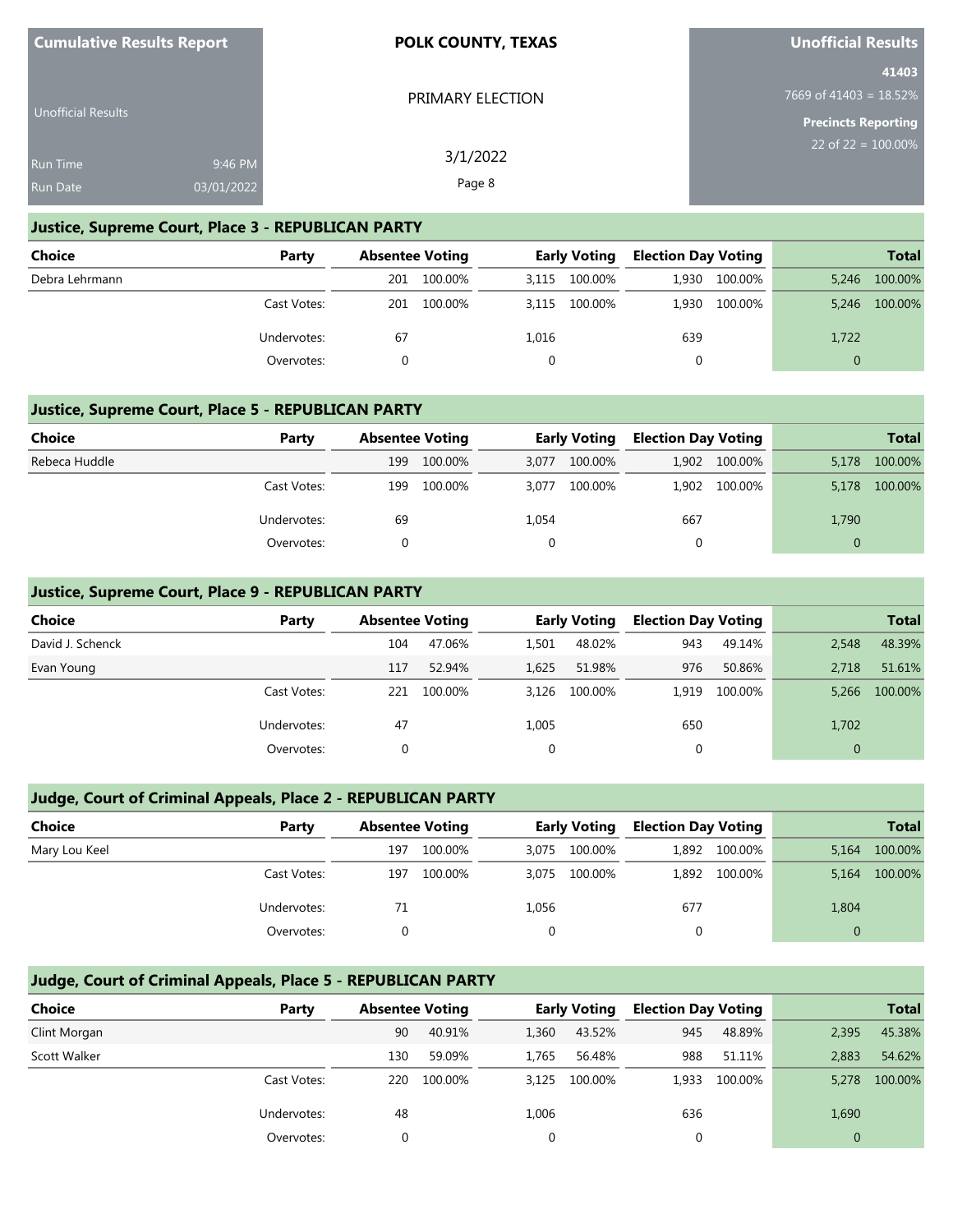| <b>Cumulative Results Report</b> | <b>POLK COUNTY, TEXAS</b> | <b>Unofficial Results</b>       |
|----------------------------------|---------------------------|---------------------------------|
|                                  | PRIMARY ELECTION          | 41403<br>7669 of 41403 = 18.52% |
| <b>Unofficial Results</b>        |                           | Precincts Reporting             |
| 9:46 PM<br>Run Time              | 3/1/2022                  | 22 of 22 = $100.00\%$           |
| 03/01/2022<br>Run Date           | Page 8                    |                                 |

### **Justice, Supreme Court, Place 3 - REPUBLICAN PARTY**

**Cumulative Results Report**

| Choice         | Party       | <b>Absentee Voting</b> |         | <b>Early Voting</b> |               | <b>Election Day Voting</b> |         |          | <b>Total</b> |
|----------------|-------------|------------------------|---------|---------------------|---------------|----------------------------|---------|----------|--------------|
| Debra Lehrmann |             | 201                    | 100.00% | 3,115               | 100.00%       | 1.930                      | 100.00% | 5.246    | 100.00%      |
|                | Cast Votes: | 201                    | 100.00% |                     | 3,115 100.00% | 1,930                      | 100.00% | 5.246    | 100.00%      |
|                | Undervotes: | 67                     |         | 1,016               |               | 639                        |         | 1,722    |              |
|                | Overvotes:  |                        |         |                     |               |                            |         | $\Omega$ |              |

### **Justice, Supreme Court, Place 5 - REPUBLICAN PARTY**

| Choice        | Party       | <b>Absentee Voting</b> |         | <b>Early Voting</b> |         | <b>Election Day Voting</b> |               |       | <b>Total</b> |
|---------------|-------------|------------------------|---------|---------------------|---------|----------------------------|---------------|-------|--------------|
| Rebeca Huddle |             | 199                    | 100.00% | 3,077               | 100.00% |                            | 1,902 100.00% | 5,178 | 100.00%      |
|               | Cast Votes: | 199                    | 100.00% | 3.077               | 100.00% |                            | 1,902 100.00% | 5.178 | 100.00%      |
|               | Undervotes: | 69                     |         | 1,054               |         | 667                        |               | 1,790 |              |
|               | Overvotes:  |                        |         |                     |         |                            |               |       |              |

### **Justice, Supreme Court, Place 9 - REPUBLICAN PARTY**

| <b>Choice</b>    | Party       | <b>Absentee Voting</b> |         | <b>Early Voting</b> |         | <b>Election Day Voting</b> |         |              | <b>Total</b> |
|------------------|-------------|------------------------|---------|---------------------|---------|----------------------------|---------|--------------|--------------|
| David J. Schenck |             | 104                    | 47.06%  | 1.501               | 48.02%  | 943                        | 49.14%  | 2,548        | 48.39%       |
| Evan Young       |             | 117                    | 52.94%  | 1,625               | 51.98%  | 976                        | 50.86%  | 2.718        | 51.61%       |
|                  | Cast Votes: | 221                    | 100.00% | 3.126               | 100.00% | 1.919                      | 100.00% | 5.266        | 100.00%      |
|                  | Undervotes: | 47                     |         | 1,005               |         | 650                        |         | 1,702        |              |
|                  | Overvotes:  |                        |         | 0                   |         |                            |         | $\mathbf{0}$ |              |

# **Judge, Court of Criminal Appeals, Place 2 - REPUBLICAN PARTY**

| <b>Choice</b> | Party       |     | <b>Absentee Voting</b> |       | <b>Early Voting</b> |       | <b>Election Day Voting</b> |              | <b>Total</b> |
|---------------|-------------|-----|------------------------|-------|---------------------|-------|----------------------------|--------------|--------------|
| Mary Lou Keel |             | 197 | 100.00%                | 3.075 | 100.00%             | 1.892 | 100.00%                    | 5.164        | 100.00%      |
|               | Cast Votes: | 197 | 100.00%                | 3,075 | 100.00%             |       | 1,892 100.00%              | 5,164        | 100.00%      |
|               | Undervotes: | 71  |                        | 1,056 |                     | 677   |                            | 1,804        |              |
|               | Overvotes:  |     |                        |       |                     | 0     |                            | $\mathbf{0}$ |              |

# **Judge, Court of Criminal Appeals, Place 5 - REPUBLICAN PARTY**

| Choice       | Party       | <b>Absentee Voting</b> |         |       | <b>Early Voting</b> | <b>Election Day Voting</b> |         |                | <b>Total</b> |
|--------------|-------------|------------------------|---------|-------|---------------------|----------------------------|---------|----------------|--------------|
| Clint Morgan |             | 90                     | 40.91%  | 1,360 | 43.52%              | 945                        | 48.89%  | 2,395          | 45.38%       |
| Scott Walker |             | 130                    | 59.09%  | 1.765 | 56.48%              | 988                        | 51.11%  | 2,883          | 54.62%       |
|              | Cast Votes: | 220                    | 100.00% | 3.125 | 100.00%             | 1.933                      | 100.00% | 5,278          | 100.00%      |
|              | Undervotes: | 48                     |         | 1,006 |                     | 636                        |         | 1,690          |              |
|              | Overvotes:  | 0                      |         | 0     |                     |                            |         | $\overline{0}$ |              |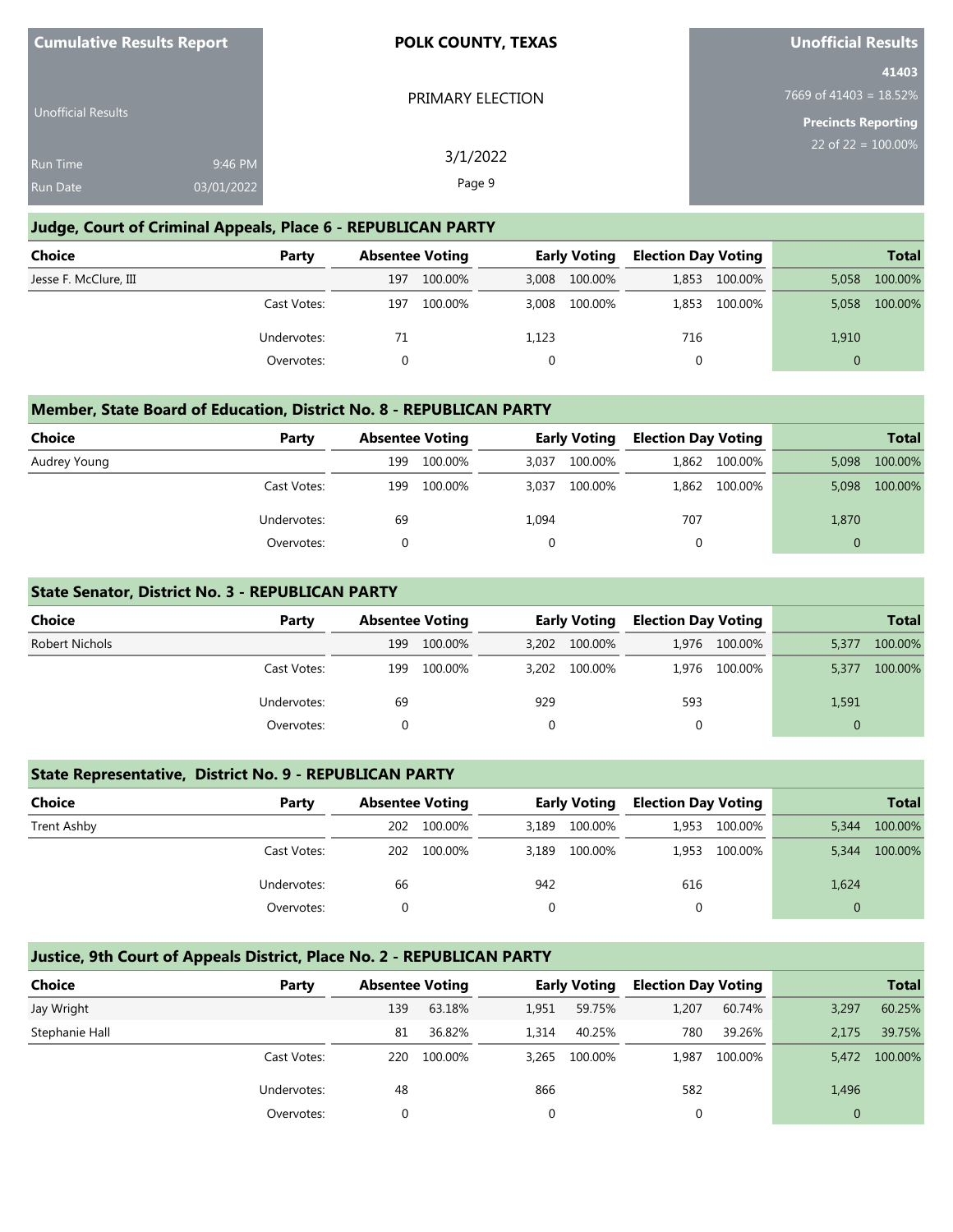| <b>Cumulative Results Report</b>   |                       | <b>POLK COUNTY, TEXAS</b> | <b>Unofficial Results</b>                           |
|------------------------------------|-----------------------|---------------------------|-----------------------------------------------------|
| Unofficial Results                 |                       | PRIMARY ELECTION          | 41403<br>7669 of $41403 = 18.52\%$                  |
|                                    |                       | 3/1/2022                  | <b>Precincts Reporting</b><br>22 of $22 = 100.00\%$ |
| <b>Run Time</b><br><b>Run Date</b> | 9:46 PM<br>03/01/2022 | Page 9                    |                                                     |
|                                    |                       |                           |                                                     |

### **Judge, Court of Criminal Appeals, Place 6 - REPUBLICAN PARTY**

| <b>Choice</b>         | Party       |     | <b>Absentee Voting</b> |       | <b>Early Voting</b> |       | <b>Election Day Voting</b> |          | <b>Total</b> |
|-----------------------|-------------|-----|------------------------|-------|---------------------|-------|----------------------------|----------|--------------|
| Jesse F. McClure, III |             | 197 | 100.00%                |       | 3,008 100.00%       | 1.853 | 100.00%                    | 5,058    | 100.00%      |
|                       | Cast Votes: | 197 | 100.00%                |       | 3,008 100.00%       | 1,853 | 100.00%                    | 5.058    | 100.00%      |
|                       | Undervotes: | 71  |                        | 1,123 |                     | 716   |                            | 1,910    |              |
|                       | Overvotes:  |     |                        |       |                     | 0     |                            | $\Omega$ |              |

### **Member, State Board of Education, District No. 8 - REPUBLICAN PARTY**

| <b>Choice</b> | Party       |     | <b>Absentee Voting</b> |       | <b>Early Voting</b> | <b>Election Day Voting</b> |               |          | <b>Total</b> |
|---------------|-------------|-----|------------------------|-------|---------------------|----------------------------|---------------|----------|--------------|
| Audrey Young  |             | 199 | 100.00%                | 3.037 | 100.00%             | 1,862                      | 100.00%       | 5.098    | 100.00%      |
|               | Cast Votes: | 199 | 100.00%                | 3,037 | 100.00%             |                            | 1,862 100.00% | 5,098    | 100.00%      |
|               | Undervotes: | 69  |                        | 1,094 |                     | 707                        |               | 1,870    |              |
|               | Overvotes:  |     |                        |       |                     | 0                          |               | $\Omega$ |              |

### **State Senator, District No. 3 - REPUBLICAN PARTY**

| <b>Choice</b>  | Party       | <b>Absentee Voting</b> |         | <b>Early Voting</b> |         | <b>Election Day Voting</b> |         |          | <b>Total</b> |
|----------------|-------------|------------------------|---------|---------------------|---------|----------------------------|---------|----------|--------------|
| Robert Nichols |             | 199                    | 100.00% | 3.202               | 100.00% | 1.976                      | 100.00% | 5,377    | 100.00%      |
|                | Cast Votes: | 199                    | 100.00% | 3.202               | 100.00% | 1.976                      | 100.00% | 5,377    | 100.00%      |
|                | Undervotes: | 69                     |         | 929                 |         | 593                        |         | 1,591    |              |
|                | Overvotes:  |                        |         |                     | 0       |                            |         | $\Omega$ |              |

### **State Representative, District No. 9 - REPUBLICAN PARTY**

| Choice      | Party       | <b>Absentee Voting</b> |         | <b>Early Voting</b> |         | <b>Election Day Voting</b> |         |       | <b>Total</b> |
|-------------|-------------|------------------------|---------|---------------------|---------|----------------------------|---------|-------|--------------|
| Trent Ashby |             | 202                    | 100.00% | 3.189               | 100.00% | 1.953                      | 100.00% | 5,344 | 100.00%      |
|             | Cast Votes: | 202                    | 100.00% | 3.189               | 100.00% | 1.953                      | 100.00% | 5,344 | 100.00%      |
|             | Undervotes: | 66                     |         | 942                 |         | 616                        |         | 1,624 |              |
|             | Overvotes:  |                        |         |                     |         |                            |         |       |              |

# **Justice, 9th Court of Appeals District, Place No. 2 - REPUBLICAN PARTY**

| Choice         | Party       | <b>Absentee Voting</b> |         |       | <b>Early Voting</b> | <b>Election Day Voting</b> |         |       | <b>Total</b> |
|----------------|-------------|------------------------|---------|-------|---------------------|----------------------------|---------|-------|--------------|
| Jay Wright     |             | 139                    | 63.18%  | 1,951 | 59.75%              | 1,207                      | 60.74%  | 3,297 | 60.25%       |
| Stephanie Hall |             | 81                     | 36.82%  | 1.314 | 40.25%              | 780                        | 39.26%  | 2.175 | 39.75%       |
|                | Cast Votes: | 220                    | 100.00% | 3.265 | 100.00%             | 1.987                      | 100.00% | 5,472 | 100.00%      |
|                | Undervotes: | 48                     |         | 866   |                     | 582                        |         | 1,496 |              |
|                | Overvotes:  |                        |         |       |                     |                            |         |       |              |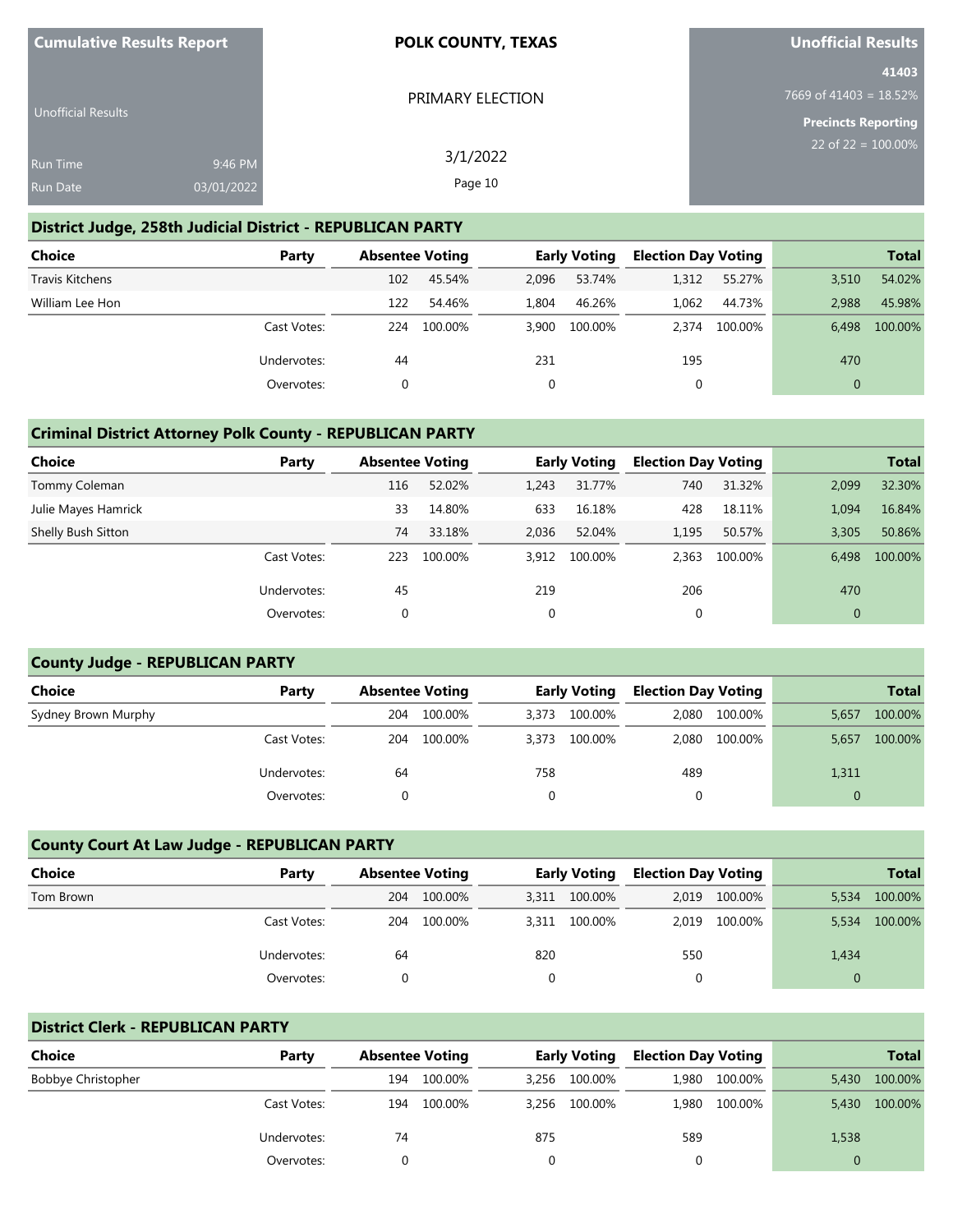| <b>Cumulative Results Report</b> |            | <b>POLK COUNTY, TEXAS</b> | <b>Unofficial Results</b>  |
|----------------------------------|------------|---------------------------|----------------------------|
|                                  |            |                           | 41403                      |
|                                  |            | PRIMARY ELECTION          | 7669 of 41403 = $18.52\%$  |
| <b>Unofficial Results</b>        |            |                           | <b>Precincts Reporting</b> |
|                                  |            | 3/1/2022                  | 22 of $22 = 100.00\%$      |
| <b>Run Time</b>                  | 9:46 PM    |                           |                            |
| <b>Run Date</b>                  | 03/01/2022 | Page 10                   |                            |

### **District Judge, 258th Judicial District - REPUBLICAN PARTY**

| <b>Choice</b>   | Party       |     | <b>Absentee Voting</b> |       | <b>Early Voting</b> | <b>Election Day Voting</b> |         |              | <b>Total</b> |
|-----------------|-------------|-----|------------------------|-------|---------------------|----------------------------|---------|--------------|--------------|
| Travis Kitchens |             | 102 | 45.54%                 | 2,096 | 53.74%              | 1.312                      | 55.27%  | 3.510        | 54.02%       |
| William Lee Hon |             | 122 | 54.46%                 | 1.804 | 46.26%              | 1.062                      | 44.73%  | 2.988        | 45.98%       |
|                 | Cast Votes: | 224 | 100.00%                | 3.900 | 100.00%             | 2.374                      | 100.00% | 6.498        | 100.00%      |
|                 | Undervotes: | 44  |                        | 231   |                     | 195                        |         | 470          |              |
|                 | Overvotes:  | 0   |                        |       |                     |                            |         | $\mathbf{0}$ |              |

### **Criminal District Attorney Polk County - REPUBLICAN PARTY**

| Choice              | Party       |     | <b>Absentee Voting</b> |       | <b>Early Voting</b> | <b>Election Day Voting</b> |         |              | <b>Total</b> |
|---------------------|-------------|-----|------------------------|-------|---------------------|----------------------------|---------|--------------|--------------|
| Tommy Coleman       |             | 116 | 52.02%                 | 1,243 | 31.77%              | 740                        | 31.32%  | 2,099        | 32.30%       |
| Julie Mayes Hamrick |             | 33  | 14.80%                 | 633   | 16.18%              | 428                        | 18.11%  | 1,094        | 16.84%       |
| Shelly Bush Sitton  |             | 74  | 33.18%                 | 2.036 | 52.04%              | 1,195                      | 50.57%  | 3,305        | 50.86%       |
|                     | Cast Votes: | 223 | 100.00%                | 3,912 | 100.00%             | 2.363                      | 100.00% | 6.498        | 100.00%      |
|                     | Undervotes: | 45  |                        | 219   |                     | 206                        |         | 470          |              |
|                     | Overvotes:  | 0   |                        | 0     |                     | 0                          |         | $\mathbf{0}$ |              |

#### **County Judge - REPUBLICAN PARTY**

| <b>Choice</b><br>Party |             | <b>Absentee Voting</b> |         | <b>Early Voting</b> |         | <b>Election Day Voting</b> |         |          | <b>Total</b> |
|------------------------|-------------|------------------------|---------|---------------------|---------|----------------------------|---------|----------|--------------|
| Sydney Brown Murphy    |             | 204                    | 100.00% | 3.373               | 100.00% | 2.080                      | 100.00% | 5,657    | 100.00%      |
|                        | Cast Votes: | 204                    | 100.00% | 3.373               | 100.00% | 2.080                      | 100.00% | 5,657    | 100.00%      |
|                        | Undervotes: | 64                     |         | 758                 |         | 489                        |         | 1,311    |              |
|                        | Overvotes:  |                        |         |                     |         |                            |         | $\Omega$ |              |

# **County Court At Law Judge - REPUBLICAN PARTY**

| <b>Choice</b> | Party       |     | <b>Absentee Voting</b> |       | <b>Early Voting</b> |       | <b>Election Day Voting</b> |          | <b>Total</b> |
|---------------|-------------|-----|------------------------|-------|---------------------|-------|----------------------------|----------|--------------|
| Tom Brown     |             | 204 | 100.00%                | 3,311 | 100.00%             | 2,019 | 100.00%                    | 5.534    | 100.00%      |
|               | Cast Votes: | 204 | 100.00%                | 3,311 | 100.00%             | 2.019 | 100.00%                    | 5,534    | 100.00%      |
|               | Undervotes: | 64  |                        | 820   |                     | 550   |                            | 1,434    |              |
|               | Overvotes:  |     |                        | 0     |                     | 0     |                            | $\Omega$ |              |

### **District Clerk - REPUBLICAN PARTY**

| <b>Choice</b>      | Party       | <b>Absentee Voting</b> |         |       | <b>Early Voting</b> | <b>Election Day Voting</b> |               |       | <b>Total</b>  |
|--------------------|-------------|------------------------|---------|-------|---------------------|----------------------------|---------------|-------|---------------|
| Bobbye Christopher |             | 194                    | 100.00% | 3.256 | 100.00%             | 1,980                      | 100.00%       | 5.430 | 100.00%       |
|                    | Cast Votes: | 194                    | 100.00% |       | 3,256 100.00%       |                            | 1,980 100.00% |       | 5,430 100.00% |
|                    | Undervotes: | 74                     |         | 875   |                     | 589                        |               | 1,538 |               |
|                    | Overvotes:  |                        |         |       |                     |                            |               |       |               |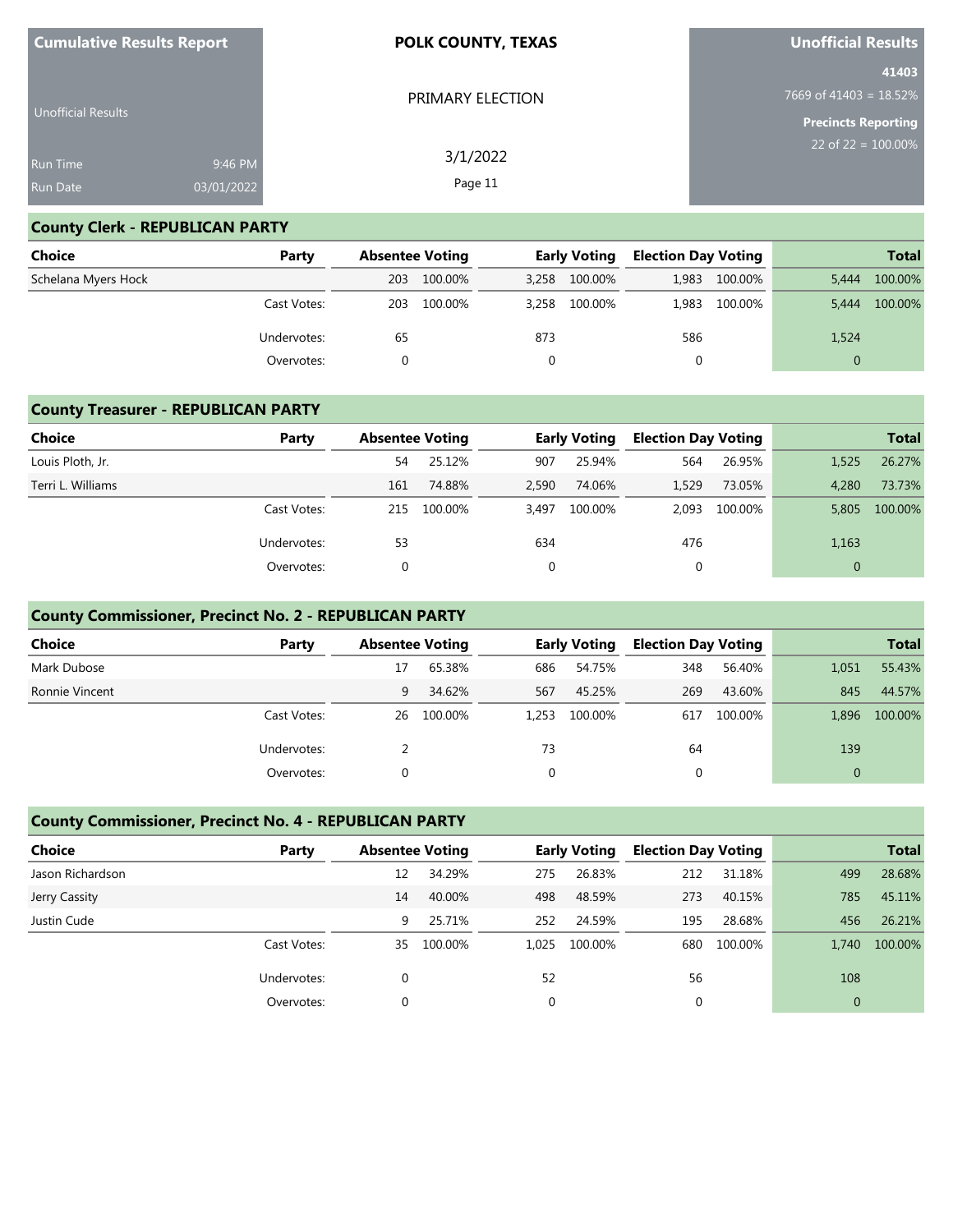| <b>Cumulative Results Report</b> |            | <b>POLK COUNTY, TEXAS</b> | <b>Unofficial Results</b>          |
|----------------------------------|------------|---------------------------|------------------------------------|
|                                  |            | PRIMARY ELECTION          | 41403<br>7669 of 41403 = $18.52\%$ |
| <b>Unofficial Results</b>        |            |                           | <b>Precincts Reporting</b>         |
| <b>Run Time</b>                  | 9:46 PM    | 3/1/2022                  | 22 of $22 = 100.00\%$              |
| <b>Run Date</b>                  | 03/01/2022 | Page 11                   |                                    |

# **County Clerk - REPUBLICAN PARTY**

| Choice              | Party       | <b>Absentee Voting</b> |         | <b>Early Voting</b> |               | <b>Election Day Voting</b> |         |          | <b>Total</b> |
|---------------------|-------------|------------------------|---------|---------------------|---------------|----------------------------|---------|----------|--------------|
| Schelana Myers Hock |             | 203                    | 100.00% |                     | 3,258 100.00% | 1.983                      | 100.00% | 5.444    | 100.00%      |
|                     | Cast Votes: | 203                    | 100.00% | 3.258               | 100.00%       | 1,983                      | 100.00% | 5.444    | 100.00%      |
|                     | Undervotes: | 65                     |         | 873                 |               | 586                        |         | 1,524    |              |
|                     | Overvotes:  |                        |         |                     |               | 0                          |         | $\Omega$ |              |

# **County Treasurer - REPUBLICAN PARTY**

| Choice            | Party       |     | <b>Absentee Voting</b> |       | <b>Early Voting</b> |       | <b>Election Day Voting</b> |       | <b>Total</b> |
|-------------------|-------------|-----|------------------------|-------|---------------------|-------|----------------------------|-------|--------------|
| Louis Ploth, Jr.  |             | 54  | 25.12%                 | 907   | 25.94%              | 564   | 26.95%                     | 1,525 | 26.27%       |
| Terri L. Williams |             | 161 | 74.88%                 | 2,590 | 74.06%              | 1.529 | 73.05%                     | 4.280 | 73.73%       |
|                   | Cast Votes: | 215 | 100.00%                | 3.497 | 100.00%             | 2.093 | 100.00%                    | 5,805 | 100.00%      |
|                   | Undervotes: | 53  |                        | 634   |                     | 476   |                            | 1,163 |              |
|                   | Overvotes:  |     |                        | 0     |                     | 0     |                            |       |              |

### **County Commissioner, Precinct No. 2 - REPUBLICAN PARTY**

| <b>Choice</b>  | Party       | <b>Absentee Voting</b> |         |       | <b>Early Voting</b> | <b>Election Day Voting</b> |         |       | <b>Total</b> |
|----------------|-------------|------------------------|---------|-------|---------------------|----------------------------|---------|-------|--------------|
| Mark Dubose    |             | 17                     | 65.38%  | 686   | 54.75%              | 348                        | 56.40%  | 1,051 | 55.43%       |
| Ronnie Vincent |             | 9                      | 34.62%  | 567   | 45.25%              | 269                        | 43.60%  | 845   | 44.57%       |
|                | Cast Votes: | 26                     | 100.00% | 1.253 | 100.00%             | 617                        | 100.00% | 1.896 | 100.00%      |
|                | Undervotes: |                        |         | 73    |                     | 64                         |         | 139   |              |
|                | Overvotes:  |                        |         | 0     |                     |                            |         |       |              |

# **County Commissioner, Precinct No. 4 - REPUBLICAN PARTY**

| <b>Choice</b>    | Party       | <b>Absentee Voting</b> |         |       | <b>Early Voting</b> | <b>Election Day Voting</b> |         |              | <b>Total</b> |
|------------------|-------------|------------------------|---------|-------|---------------------|----------------------------|---------|--------------|--------------|
| Jason Richardson |             | 12                     | 34.29%  | 275   | 26.83%              | 212                        | 31.18%  | 499          | 28.68%       |
| Jerry Cassity    |             | 14                     | 40.00%  | 498   | 48.59%              | 273                        | 40.15%  | 785          | 45.11%       |
| Justin Cude      |             | 9                      | 25.71%  | 252   | 24.59%              | 195                        | 28.68%  | 456          | 26.21%       |
|                  | Cast Votes: | 35                     | 100.00% | 1.025 | 100.00%             | 680                        | 100.00% | 1.740        | 100.00%      |
|                  | Undervotes: | $\Omega$               |         | 52    |                     | 56                         |         | 108          |              |
|                  | Overvotes:  | 0                      |         | 0     |                     | 0                          |         | $\mathbf{0}$ |              |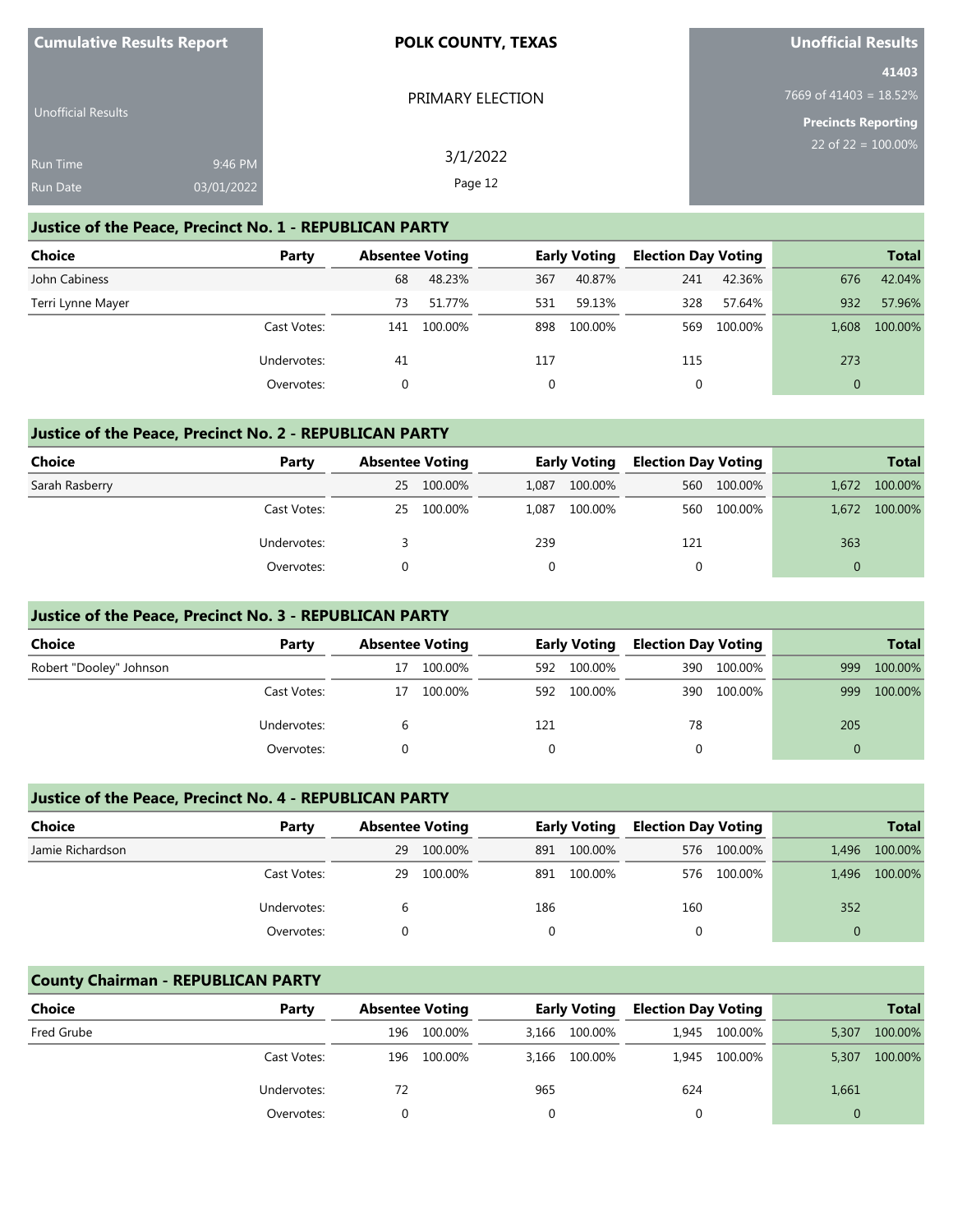| <b>Cumulative Results Report</b> |            | <b>POLK COUNTY, TEXAS</b> | <b>Unofficial Results</b>  |
|----------------------------------|------------|---------------------------|----------------------------|
|                                  |            |                           | 41403                      |
|                                  |            | PRIMARY ELECTION          | 7669 of 41403 = $18.52\%$  |
| <b>Unofficial Results</b>        |            |                           | <b>Precincts Reporting</b> |
| <b>Run Time</b>                  | 9:46 PM    | 3/1/2022                  | 22 of 22 = $100.00\%$      |
|                                  |            |                           |                            |
| <b>Run Date</b>                  | 03/01/2022 | Page 12                   |                            |

#### **Justice of the Peace, Precinct No. 1 - REPUBLICAN PARTY**

| <b>Choice</b>     | Party       | <b>Absentee Voting</b> |         |     | <b>Early Voting</b> | <b>Election Day Voting</b> |         |              | <b>Total</b> |
|-------------------|-------------|------------------------|---------|-----|---------------------|----------------------------|---------|--------------|--------------|
| John Cabiness     |             | 68                     | 48.23%  | 367 | 40.87%              | 241                        | 42.36%  | 676          | 42.04%       |
| Terri Lynne Mayer |             | 73                     | 51.77%  | 531 | 59.13%              | 328                        | 57.64%  | 932          | 57.96%       |
|                   | Cast Votes: | 141                    | 100.00% | 898 | 100.00%             | 569                        | 100.00% | 1.608        | 100.00%      |
|                   | Undervotes: | 41                     |         | 117 |                     | 115                        |         | 273          |              |
|                   | Overvotes:  |                        |         | 0   |                     | 0                          |         | $\mathbf{0}$ |              |

#### **Justice of the Peace, Precinct No. 2 - REPUBLICAN PARTY**

| Choice         | Party       |    | <b>Absentee Voting</b> |          |         |     | <b>Early Voting</b> |          |         |  | <b>Election Day Voting</b> |  | <b>Total</b> |
|----------------|-------------|----|------------------------|----------|---------|-----|---------------------|----------|---------|--|----------------------------|--|--------------|
| Sarah Rasberry |             | 25 | 100.00%                | 1.087    | 100.00% |     | 560 100.00%         | 1,672    | 100.00% |  |                            |  |              |
|                | Cast Votes: | 25 | 100.00%                | 1.087    | 100.00% | 560 | 100.00%             | 1,672    | 100.00% |  |                            |  |              |
|                | Undervotes: |    |                        | 239      |         | 121 |                     | 363      |         |  |                            |  |              |
|                | Overvotes:  |    |                        | $\Omega$ |         | 0   |                     | $\Omega$ |         |  |                            |  |              |

#### **Justice of the Peace, Precinct No. 3 - REPUBLICAN PARTY**

| Choice                  | Party       | <b>Absentee Voting</b> |         |     | <b>Early Voting</b> |     | <b>Election Day Voting</b> |     | <b>Total</b> |
|-------------------------|-------------|------------------------|---------|-----|---------------------|-----|----------------------------|-----|--------------|
| Robert "Dooley" Johnson |             | 17                     | 100.00% | 592 | 100.00%             | 390 | 100.00%                    | 999 | 100.00%      |
|                         | Cast Votes: | 17                     | 100.00% | 592 | 100.00%             | 390 | 100.00%                    | 999 | 100.00%      |
|                         | Undervotes: |                        |         | 121 |                     | 78  |                            | 205 |              |
|                         | Overvotes:  |                        |         |     |                     |     |                            |     |              |

#### **Justice of the Peace, Precinct No. 4 - REPUBLICAN PARTY**

| <b>Choice</b>    | Party       |    | <b>Absentee Voting</b> |          | <b>Early Voting</b> |     | <b>Election Day Voting</b> |          | <b>Total</b> |
|------------------|-------------|----|------------------------|----------|---------------------|-----|----------------------------|----------|--------------|
| Jamie Richardson |             | 29 | 100.00%                | 891      | 100.00%             | 576 | 100.00%                    | 1,496    | 100.00%      |
|                  | Cast Votes: | 29 | 100.00%                | 891      | 100.00%             |     | 576 100.00%                | 1.496    | 100.00%      |
|                  | Undervotes: | b  |                        | 186      |                     | 160 |                            | 352      |              |
|                  | Overvotes:  |    |                        | $\Omega$ |                     | 0   |                            | $\Omega$ |              |

### **County Chairman - REPUBLICAN PARTY**

| <b>Choice</b> | Party       | <b>Absentee Voting</b> |         |     | Early Voting  | <b>Election Day Voting</b> |               |       | <b>Total</b> |
|---------------|-------------|------------------------|---------|-----|---------------|----------------------------|---------------|-------|--------------|
| Fred Grube    |             | 196                    | 100.00% |     | 3,166 100.00% | 1.945                      | 100.00%       | 5,307 | 100.00%      |
|               | Cast Votes: | 196                    | 100.00% |     | 3,166 100.00% |                            | 1.945 100.00% | 5,307 | 100.00%      |
|               | Undervotes: | 72                     |         | 965 |               | 624                        |               | 1,661 |              |
|               | Overvotes:  |                        |         |     |               |                            |               |       |              |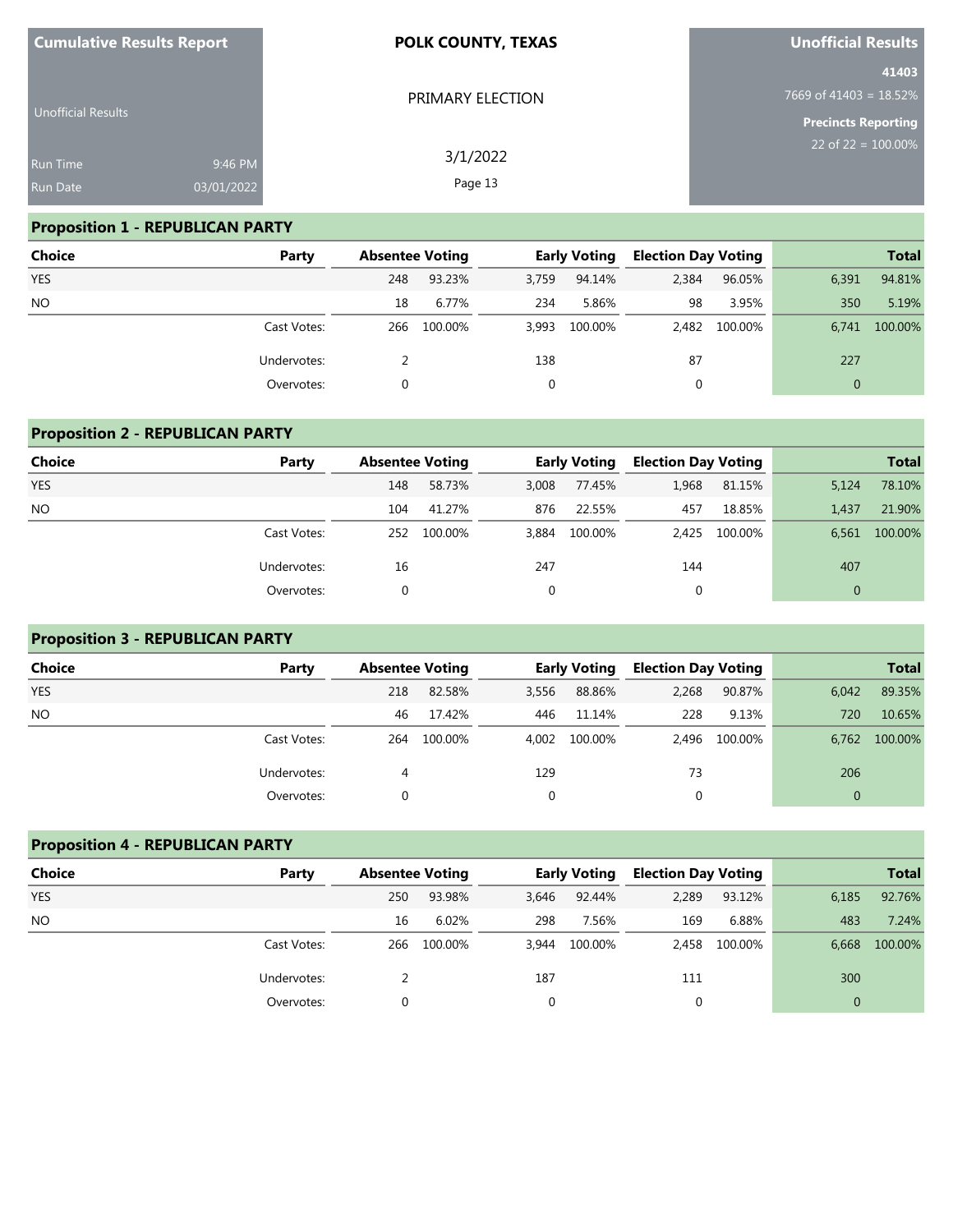| <b>Cumulative Results Report</b> | POLK COUNTY, TEXAS    | Unofficial Results                 |
|----------------------------------|-----------------------|------------------------------------|
| <b>Unofficial Results</b>        | PRIMARY ELECTION      | 41403<br>7669 of 41403 = $18.52\%$ |
|                                  |                       | <b>Precincts Reporting</b>         |
| <b>Run Time</b>                  | 3/1/2022<br>9:46 PM   | $22$ of 22 = 100.00%               |
| <b>Run Date</b>                  | Page 13<br>03/01/2022 |                                    |

# **Proposition 1 - REPUBLICAN PARTY**

| Choice     | Party       | <b>Absentee Voting</b> |         |       | <b>Early Voting</b> | <b>Election Day Voting</b> |         |          | <b>Total</b> |
|------------|-------------|------------------------|---------|-------|---------------------|----------------------------|---------|----------|--------------|
| <b>YES</b> |             | 248                    | 93.23%  | 3,759 | 94.14%              | 2,384                      | 96.05%  | 6,391    | 94.81%       |
| <b>NO</b>  |             | 18                     | 6.77%   | 234   | 5.86%               | 98                         | 3.95%   | 350      | 5.19%        |
|            | Cast Votes: | 266                    | 100.00% |       | 3,993 100.00%       | 2,482                      | 100.00% | 6.741    | 100.00%      |
|            | Undervotes: |                        |         | 138   |                     | 87                         |         | 227      |              |
|            | Overvotes:  |                        |         |       |                     | $\Omega$                   |         | $\Omega$ |              |

# **Proposition 2 - REPUBLICAN PARTY**

| Choice     | Party       | <b>Absentee Voting</b> |         |          | <b>Early Voting</b> | <b>Election Day Voting</b> |               |              | <b>Total</b> |
|------------|-------------|------------------------|---------|----------|---------------------|----------------------------|---------------|--------------|--------------|
| <b>YES</b> |             | 148                    | 58.73%  | 3,008    | 77.45%              | 1,968                      | 81.15%        | 5,124        | 78.10%       |
| <b>NO</b>  |             | 104                    | 41.27%  | 876      | 22.55%              | 457                        | 18.85%        | 1.437        | 21.90%       |
|            | Cast Votes: | 252                    | 100.00% | 3,884    | 100.00%             |                            | 2,425 100.00% | 6.561        | 100.00%      |
|            | Undervotes: | 16                     |         | 247      |                     | 144                        |               | 407          |              |
|            | Overvotes:  |                        |         | $\Omega$ |                     | 0                          |               | $\mathbf{0}$ |              |

# **Proposition 3 - REPUBLICAN PARTY**

| Choice     | Party       | <b>Absentee Voting</b> |         |       | <b>Early Voting</b> | <b>Election Day Voting</b> |               |          | <b>Total</b> |
|------------|-------------|------------------------|---------|-------|---------------------|----------------------------|---------------|----------|--------------|
| <b>YES</b> |             | 218                    | 82.58%  | 3,556 | 88.86%              | 2,268                      | 90.87%        | 6,042    | 89.35%       |
| <b>NO</b>  |             | 46                     | 17.42%  | 446   | 11.14%              | 228                        | 9.13%         | 720      | 10.65%       |
|            | Cast Votes: | 264                    | 100.00% | 4.002 | 100.00%             |                            | 2,496 100.00% | 6.762    | 100.00%      |
|            | Undervotes: | 4                      |         | 129   |                     | 73                         |               | 206      |              |
|            | Overvotes:  |                        |         |       |                     |                            |               | $\Omega$ |              |

# **Proposition 4 - REPUBLICAN PARTY**

| <b>Choice</b> | Party       | <b>Absentee Voting</b> |         |              | <b>Early Voting</b> | <b>Election Day Voting</b> |         |              | <b>Total</b> |
|---------------|-------------|------------------------|---------|--------------|---------------------|----------------------------|---------|--------------|--------------|
| <b>YES</b>    |             | 250                    | 93.98%  | 3,646        | 92.44%              | 2,289                      | 93.12%  | 6,185        | 92.76%       |
| NO.           |             | 16                     | 6.02%   | 298          | 7.56%               | 169                        | 6.88%   | 483          | 7.24%        |
|               | Cast Votes: | 266                    | 100.00% | 3,944        | 100.00%             | 2,458                      | 100.00% | 6,668        | 100.00%      |
|               | Undervotes: |                        |         | 187          |                     | 111                        |         | 300          |              |
|               | Overvotes:  |                        |         | $\mathbf{0}$ |                     | 0                          |         | $\mathbf{0}$ |              |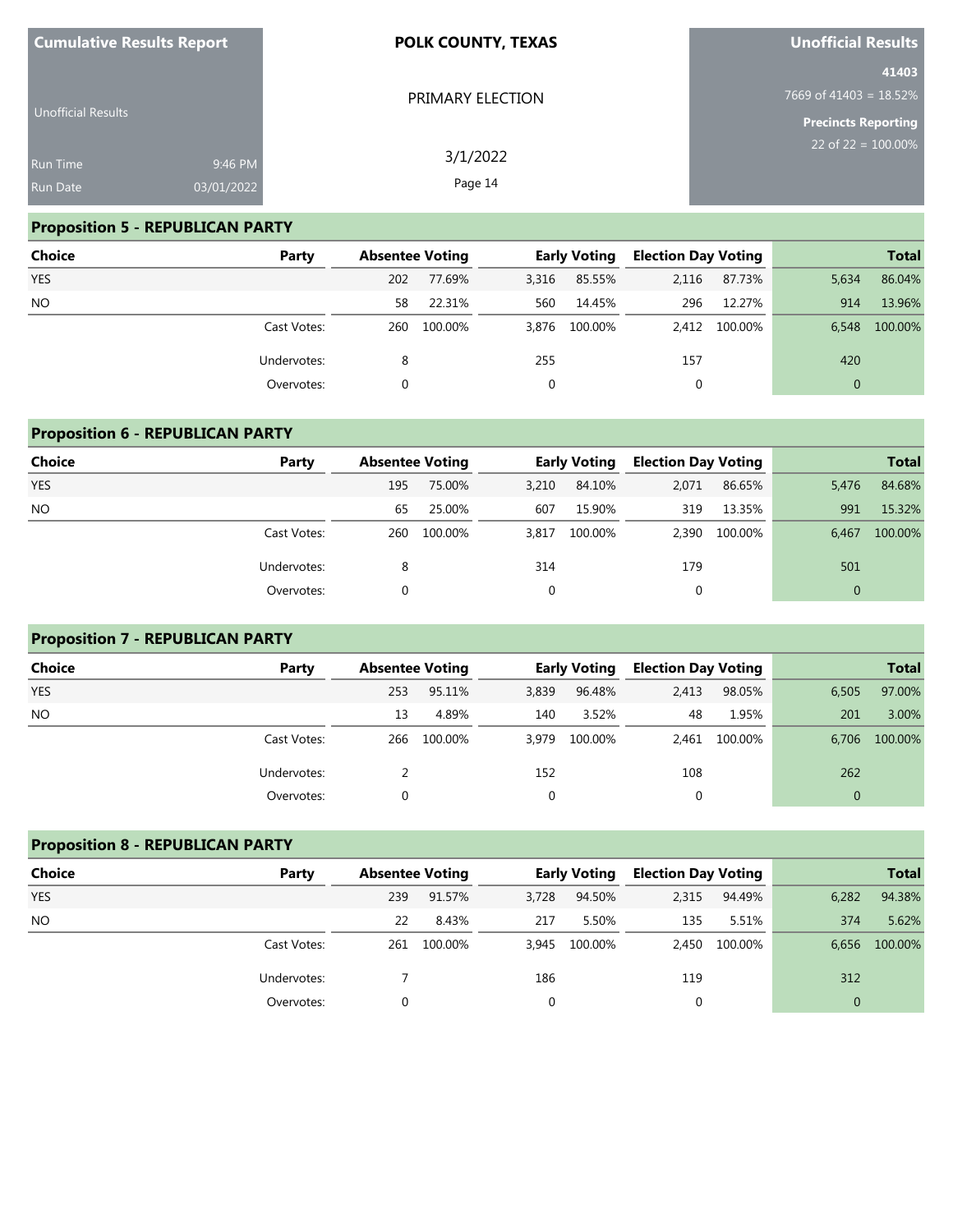| <b>Cumulative Results Report</b> |            | <b>POLK COUNTY, TEXAS</b> | <b>Unofficial Results</b>          |
|----------------------------------|------------|---------------------------|------------------------------------|
|                                  |            | PRIMARY ELECTION          | 41403<br>7669 of 41403 = $18.52\%$ |
| Unofficial Results               |            |                           | <b>Precincts Reporting</b>         |
| <b>Run Time</b>                  | 9:46 PM    | 3/1/2022                  | 22 of $22 = 100.00\%$              |
| <b>Run Date</b>                  | 03/01/2022 | Page 14                   |                                    |

# **Proposition 5 - REPUBLICAN PARTY**

| Choice     | Party       | <b>Absentee Voting</b> |         |       | <b>Early Voting</b> | <b>Election Day Voting</b> |               |                | <b>Total</b> |
|------------|-------------|------------------------|---------|-------|---------------------|----------------------------|---------------|----------------|--------------|
| <b>YES</b> |             | 202                    | 77.69%  | 3,316 | 85.55%              | 2,116                      | 87.73%        | 5,634          | 86.04%       |
| <b>NO</b>  |             | 58                     | 22.31%  | 560   | 14.45%              | 296                        | 12.27%        | 914            | 13.96%       |
|            | Cast Votes: | 260                    | 100.00% |       | 3,876 100.00%       |                            | 2,412 100.00% | 6.548          | 100.00%      |
|            | Undervotes: | 8                      |         | 255   |                     | 157                        |               | 420            |              |
|            | Overvotes:  |                        |         |       |                     | 0                          |               | $\overline{0}$ |              |

# **Proposition 6 - REPUBLICAN PARTY**

| <b>Choice</b> | Party       | <b>Absentee Voting</b> |         |              | <b>Early Voting</b> | <b>Election Day Voting</b> |         |          | <b>Total</b> |
|---------------|-------------|------------------------|---------|--------------|---------------------|----------------------------|---------|----------|--------------|
| <b>YES</b>    |             | 195                    | 75.00%  | 3,210        | 84.10%              | 2,071                      | 86.65%  | 5,476    | 84.68%       |
| <b>NO</b>     |             | 65                     | 25.00%  | 607          | 15.90%              | 319                        | 13.35%  | 991      | 15.32%       |
|               | Cast Votes: | 260                    | 100.00% | 3,817        | 100.00%             | 2,390                      | 100.00% | 6,467    | 100.00%      |
|               | Undervotes: | 8                      |         | 314          |                     | 179                        |         | 501      |              |
|               | Overvotes:  |                        |         | $\mathbf{0}$ |                     | 0                          |         | $\Omega$ |              |

# **Proposition 7 - REPUBLICAN PARTY**

| <b>Choice</b> | Party       | <b>Absentee Voting</b> |         |             | <b>Early Voting</b> | <b>Election Day Voting</b> |               |          | <b>Total</b> |
|---------------|-------------|------------------------|---------|-------------|---------------------|----------------------------|---------------|----------|--------------|
| <b>YES</b>    |             | 253                    | 95.11%  | 3,839       | 96.48%              | 2,413                      | 98.05%        | 6,505    | 97.00%       |
| <b>NO</b>     |             | 13                     | 4.89%   | 140         | 3.52%               | 48                         | 1.95%         | 201      | 3.00%        |
|               | Cast Votes: | 266                    | 100.00% | 3,979       | 100.00%             |                            | 2.461 100.00% | 6.706    | 100.00%      |
|               | Undervotes: |                        |         | 152         |                     | 108                        |               | 262      |              |
|               | Overvotes:  |                        |         | $\mathbf 0$ |                     | 0                          |               | $\Omega$ |              |

# **Proposition 8 - REPUBLICAN PARTY**

| <b>Choice</b> | Party       | <b>Absentee Voting</b> |         |             | <b>Early Voting</b> | <b>Election Day Voting</b> |               |              | <b>Total</b> |
|---------------|-------------|------------------------|---------|-------------|---------------------|----------------------------|---------------|--------------|--------------|
| <b>YES</b>    |             | 239                    | 91.57%  | 3,728       | 94.50%              | 2,315                      | 94.49%        | 6,282        | 94.38%       |
| NO.           |             | 22                     | 8.43%   | 217         | 5.50%               | 135                        | 5.51%         | 374          | 5.62%        |
|               | Cast Votes: | 261                    | 100.00% | 3,945       | 100.00%             |                            | 2,450 100.00% | 6,656        | 100.00%      |
|               | Undervotes: |                        |         | 186         |                     | 119                        |               | 312          |              |
|               | Overvotes:  |                        |         | $\mathbf 0$ |                     | 0                          |               | $\mathbf{0}$ |              |